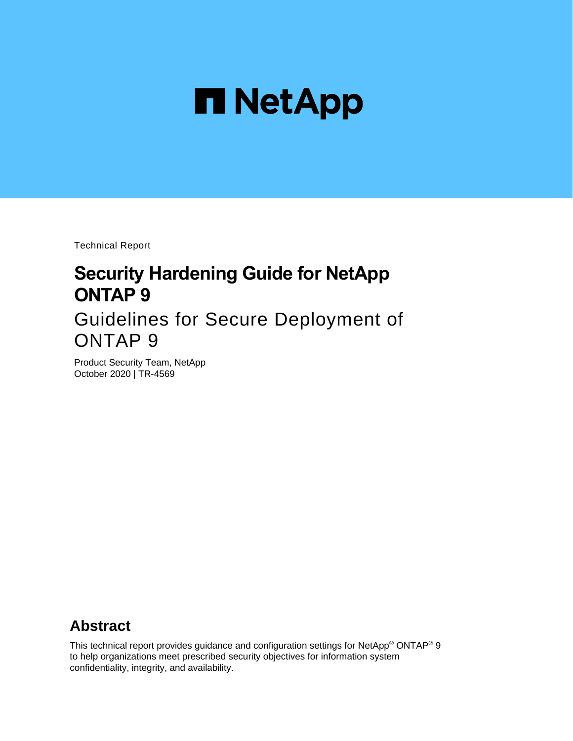

Technical Report

# **Security Hardening Guide for NetApp ONTAP 9**

Guidelines for Secure Deployment of ONTAP 9

Product Security Team, NetApp October 2020 | TR-4569

## **Abstract**

This technical report provides guidance and configuration settings for NetApp® ONTAP® 9 to help organizations meet prescribed security objectives for information system confidentiality, integrity, and availability.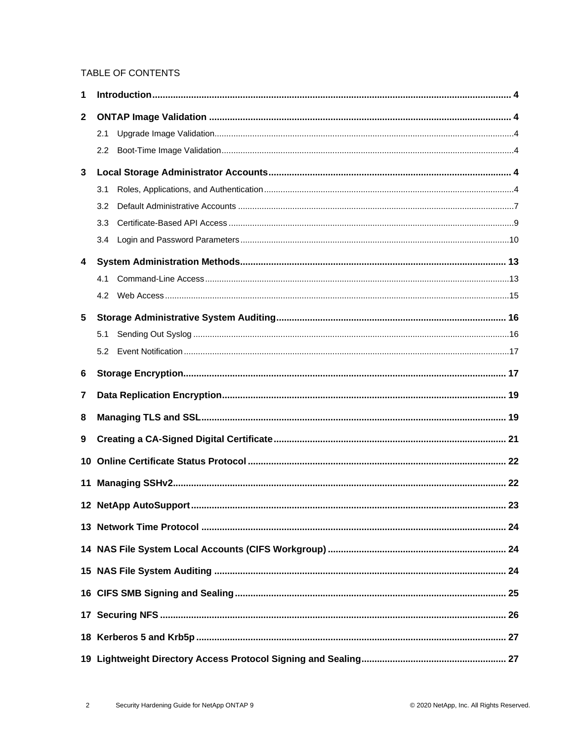#### TABLE OF CONTENTS

| 1              |                  |  |
|----------------|------------------|--|
| 2              |                  |  |
|                | 2.1              |  |
|                | $2.2\phantom{0}$ |  |
| $\mathbf{3}$   |                  |  |
|                | 3.1              |  |
|                | 3.2              |  |
|                | 3.3              |  |
|                | 3.4              |  |
| 4              |                  |  |
|                | 4.1              |  |
|                | 4.2              |  |
| $5\phantom{1}$ |                  |  |
|                | 5.1              |  |
|                | 5.2              |  |
| 6              |                  |  |
| 7              |                  |  |
| 8              |                  |  |
| 9              |                  |  |
| 10             |                  |  |
| 11             |                  |  |
|                |                  |  |
|                |                  |  |
|                |                  |  |
|                |                  |  |
|                |                  |  |
|                |                  |  |
|                |                  |  |
|                |                  |  |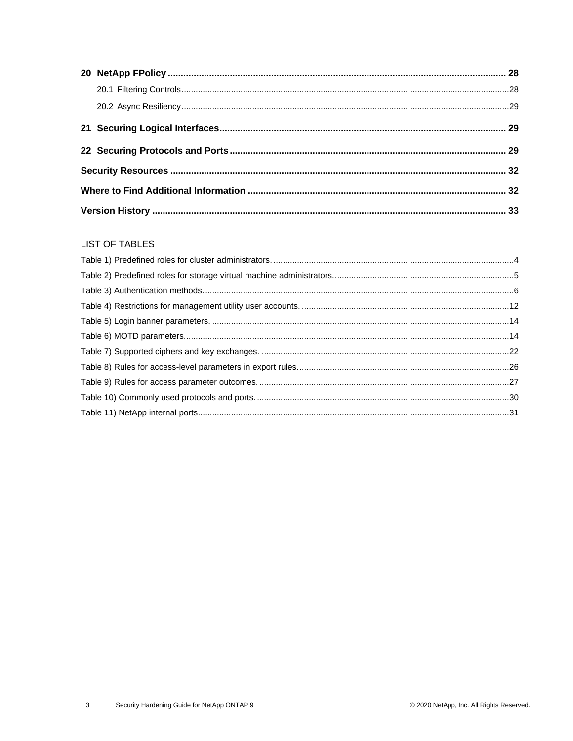#### **LIST OF TABLES**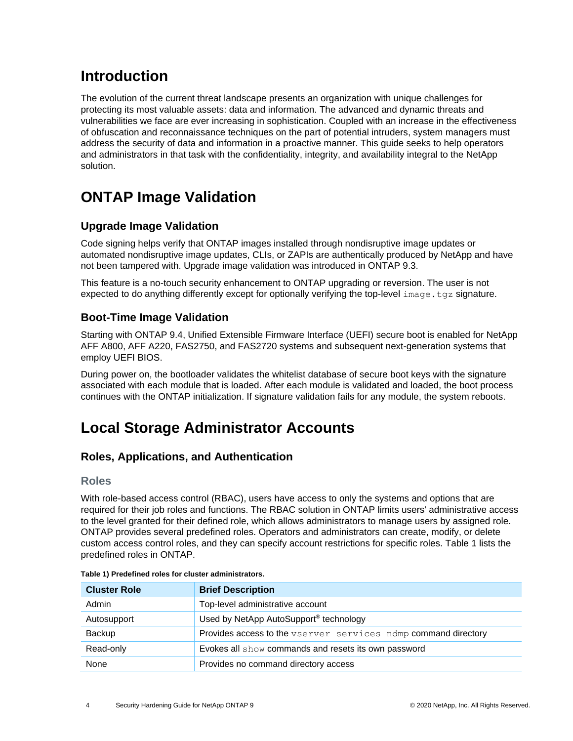## <span id="page-3-0"></span>**Introduction**

The evolution of the current threat landscape presents an organization with unique challenges for protecting its most valuable assets: data and information. The advanced and dynamic threats and vulnerabilities we face are ever increasing in sophistication. Coupled with an increase in the effectiveness of obfuscation and reconnaissance techniques on the part of potential intruders, system managers must address the security of data and information in a proactive manner. This guide seeks to help operators and administrators in that task with the confidentiality, integrity, and availability integral to the NetApp solution.

# <span id="page-3-1"></span>**ONTAP Image Validation**

### <span id="page-3-2"></span>**Upgrade Image Validation**

Code signing helps verify that ONTAP images installed through nondisruptive image updates or automated nondisruptive image updates, CLIs, or ZAPIs are authentically produced by NetApp and have not been tampered with. Upgrade image validation was introduced in ONTAP 9.3.

This feature is a no-touch security enhancement to ONTAP upgrading or reversion. The user is not expected to do anything differently except for optionally verifying the top-level  $\text{image.tgz}$  signature.

### <span id="page-3-3"></span>**Boot-Time Image Validation**

Starting with ONTAP 9.4, Unified Extensible Firmware Interface (UEFI) secure boot is enabled for NetApp AFF A800, AFF A220, FAS2750, and FAS2720 systems and subsequent next-generation systems that employ UEFI BIOS.

During power on, the bootloader validates the whitelist database of secure boot keys with the signature associated with each module that is loaded. After each module is validated and loaded, the boot process continues with the ONTAP initialization. If signature validation fails for any module, the system reboots.

## <span id="page-3-4"></span>**Local Storage Administrator Accounts**

### <span id="page-3-5"></span>**Roles, Applications, and Authentication**

### **Roles**

With role-based access control (RBAC), users have access to only the systems and options that are required for their job roles and functions. The RBAC solution in ONTAP limits users' administrative access to the level granted for their defined role, which allows administrators to manage users by assigned role. ONTAP provides several predefined roles. Operators and administrators can create, modify, or delete custom access control roles, and they can specify account restrictions for specific roles. [Table 1](#page-3-6) lists the predefined roles in ONTAP.

| <b>Cluster Role</b>                       | <b>Brief Description</b>                                       |  |  |
|-------------------------------------------|----------------------------------------------------------------|--|--|
| Top-level administrative account<br>Admin |                                                                |  |  |
| Autosupport                               | Used by NetApp AutoSupport <sup>®</sup> technology             |  |  |
| Backup                                    | Provides access to the vserver services ndmp command directory |  |  |
| Read-only                                 | Evokes all show commands and resets its own password           |  |  |
| None                                      | Provides no command directory access                           |  |  |

<span id="page-3-6"></span>

|  |  |  |  | Table 1) Predefined roles for cluster administrators. |
|--|--|--|--|-------------------------------------------------------|
|--|--|--|--|-------------------------------------------------------|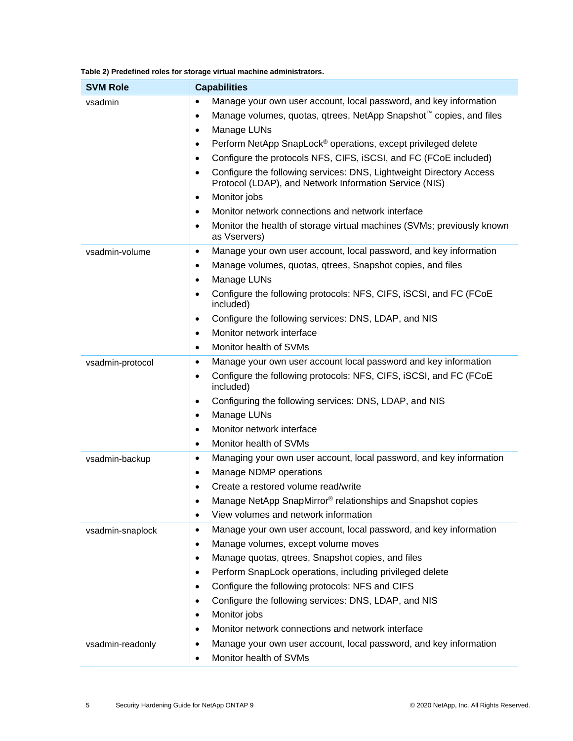<span id="page-4-0"></span>

| Table 2) Predefined roles for storage virtual machine administrators. |  |  |  |  |  |
|-----------------------------------------------------------------------|--|--|--|--|--|
|-----------------------------------------------------------------------|--|--|--|--|--|

| <b>SVM Role</b>  | <b>Capabilities</b>                                                                                                                                                                                                                                                                                                                                                                                                                                                                                                                                                                                                                                                                                                                      |
|------------------|------------------------------------------------------------------------------------------------------------------------------------------------------------------------------------------------------------------------------------------------------------------------------------------------------------------------------------------------------------------------------------------------------------------------------------------------------------------------------------------------------------------------------------------------------------------------------------------------------------------------------------------------------------------------------------------------------------------------------------------|
| vsadmin          | Manage your own user account, local password, and key information<br>$\bullet$<br>Manage volumes, quotas, qtrees, NetApp Snapshot <sup>™</sup> copies, and files<br>$\bullet$<br>Manage LUNs<br>$\bullet$<br>Perform NetApp SnapLock <sup>®</sup> operations, except privileged delete<br>$\bullet$<br>Configure the protocols NFS, CIFS, iSCSI, and FC (FCoE included)<br>$\bullet$<br>Configure the following services: DNS, Lightweight Directory Access<br>$\bullet$<br>Protocol (LDAP), and Network Information Service (NIS)<br>Monitor jobs<br>$\bullet$<br>Monitor network connections and network interface<br>$\bullet$<br>Monitor the health of storage virtual machines (SVMs; previously known<br>$\bullet$<br>as Vservers) |
| vsadmin-volume   | Manage your own user account, local password, and key information<br>$\bullet$<br>Manage volumes, quotas, gtrees, Snapshot copies, and files<br>$\bullet$<br>Manage LUNs<br>$\bullet$<br>Configure the following protocols: NFS, CIFS, iSCSI, and FC (FCoE<br>$\bullet$<br>included)<br>Configure the following services: DNS, LDAP, and NIS<br>$\bullet$<br>Monitor network interface<br>$\bullet$<br>Monitor health of SVMs<br>$\bullet$                                                                                                                                                                                                                                                                                               |
| vsadmin-protocol | Manage your own user account local password and key information<br>$\bullet$<br>Configure the following protocols: NFS, CIFS, iSCSI, and FC (FCoE<br>$\bullet$<br>included)<br>Configuring the following services: DNS, LDAP, and NIS<br>$\bullet$<br>Manage LUNs<br>$\bullet$<br>Monitor network interface<br>$\bullet$<br>Monitor health of SVMs<br>$\bullet$                                                                                                                                                                                                                                                                                                                                                                          |
| vsadmin-backup   | Managing your own user account, local password, and key information<br>$\bullet$<br>Manage NDMP operations<br>$\bullet$<br>Create a restored volume read/write<br>$\bullet$<br>Manage NetApp SnapMirror® relationships and Snapshot copies<br>٠<br>View volumes and network information<br>$\bullet$                                                                                                                                                                                                                                                                                                                                                                                                                                     |
| vsadmin-snaplock | Manage your own user account, local password, and key information<br>$\bullet$<br>Manage volumes, except volume moves<br>$\bullet$<br>Manage quotas, qtrees, Snapshot copies, and files<br>$\bullet$<br>Perform SnapLock operations, including privileged delete<br>$\bullet$<br>Configure the following protocols: NFS and CIFS<br>$\bullet$<br>Configure the following services: DNS, LDAP, and NIS<br>$\bullet$<br>Monitor jobs<br>$\bullet$<br>Monitor network connections and network interface<br>٠                                                                                                                                                                                                                                |
| vsadmin-readonly | Manage your own user account, local password, and key information<br>$\bullet$<br>Monitor health of SVMs<br>$\bullet$                                                                                                                                                                                                                                                                                                                                                                                                                                                                                                                                                                                                                    |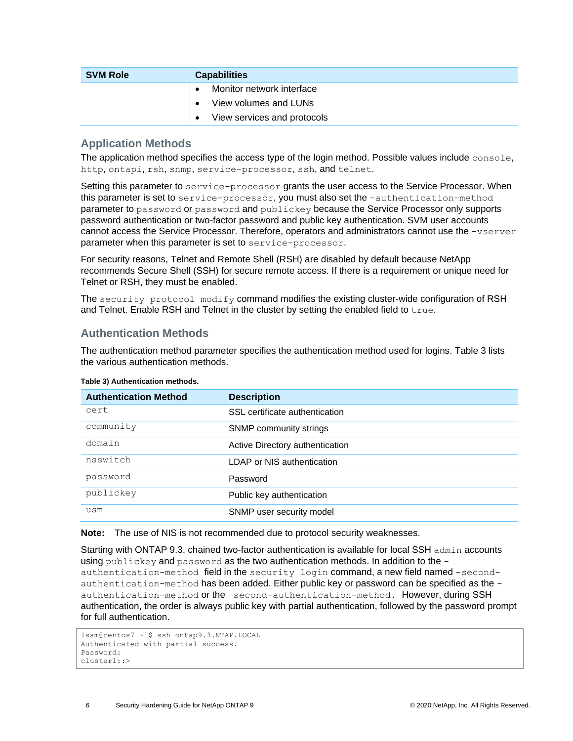| <b>SVM Role</b> | <b>Capabilities</b>                      |
|-----------------|------------------------------------------|
|                 | Monitor network interface<br>$\bullet$   |
|                 | View volumes and LUNs<br>$\bullet$       |
|                 | View services and protocols<br>$\bullet$ |

#### **Application Methods**

The application method specifies the access type of the login method. Possible values include console, http, ontapi, rsh, snmp, service-processor, ssh, and telnet.

Setting this parameter to service-processor grants the user access to the Service Processor. When this parameter is set to service-processor, you must also set the -authentication-method parameter to password or password and publickey because the Service Processor only supports password authentication or two-factor password and public key authentication. SVM user accounts cannot access the Service Processor. Therefore, operators and administrators cannot use the -vserver parameter when this parameter is set to service-processor.

For security reasons, Telnet and Remote Shell (RSH) are disabled by default because NetApp recommends Secure Shell (SSH) for secure remote access. If there is a requirement or unique need for Telnet or RSH, they must be enabled.

The security protocol modify command modifies the existing cluster-wide configuration of RSH and Telnet. Enable RSH and Telnet in the cluster by setting the enabled field to  $true$ .

#### **Authentication Methods**

The authentication method parameter specifies the authentication method used for logins. [Table 3](#page-5-0) lists the various authentication methods.

| <b>Authentication Method</b> | <b>Description</b>              |
|------------------------------|---------------------------------|
| cert                         | SSL certificate authentication  |
| community                    | SNMP community strings          |
| domain                       | Active Directory authentication |
| nsswitch                     | LDAP or NIS authentication      |
| password                     | Password                        |
| publickey                    | Public key authentication       |
| usm                          | SNMP user security model        |

#### <span id="page-5-0"></span>**Table 3) Authentication methods.**

**Note:** The use of NIS is not recommended due to protocol security weaknesses.

Starting with ONTAP 9.3, chained two-factor authentication is available for local SSH admin accounts using publickey and password as the two authentication methods. In addition to the authentication-method field in the security login command, a new field named -secondauthentication-method has been added. Either public key or password can be specified as the authentication-method or the –second-authentication-method. However, during SSH authentication, the order is always public key with partial authentication, followed by the password prompt for full authentication.

```
[sam@centos7 ~]$ ssh ontap9.3.NTAP.LOCAL 
Authenticated with partial success.
Password:
cluster1::>
```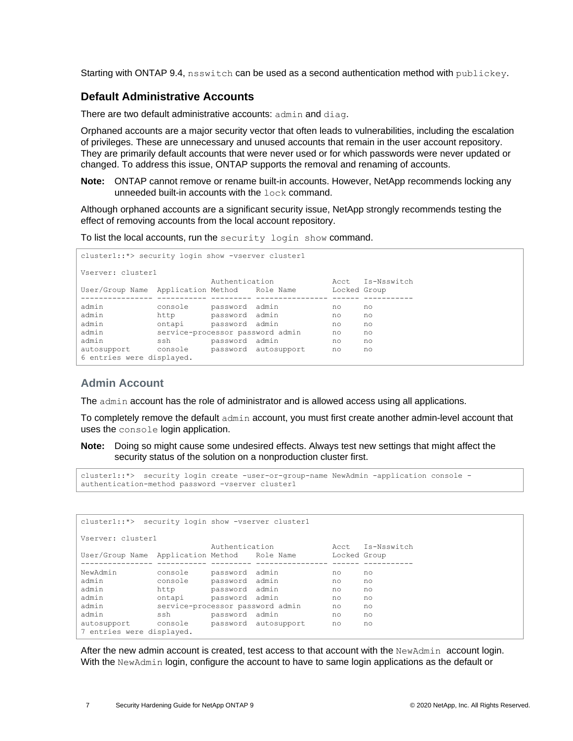Starting with ONTAP 9.4, nsswitch can be used as a second authentication method with publickey.

#### <span id="page-6-0"></span>**Default Administrative Accounts**

There are two default administrative accounts: admin and diag.

Orphaned accounts are a major security vector that often leads to vulnerabilities, including the escalation of privileges. These are unnecessary and unused accounts that remain in the user account repository. They are primarily default accounts that were never used or for which passwords were never updated or changed. To address this issue, ONTAP supports the removal and renaming of accounts.

**Note:** ONTAP cannot remove or rename built-in accounts. However, NetApp recommends locking any unneeded built-in accounts with the lock command.

Although orphaned accounts are a significant security issue, NetApp strongly recommends testing the effect of removing accounts from the local account repository.

To list the local accounts, run the security login show command.

```
cluster1::*> security login show -vserver cluster1
Vserver: cluster1
 Authentication Acct Is-Nsswitch
User/Group Name Application Method Role Name Locked Group
---------------- ----------- --------- ---------------- ------ -----------
admin console password admin no no
admin http password admin no no
admin ontapi password admin no no
admin service-processor password admin no no
admin ssh password admin no no
admin ssh password admin no no no autosupport console password autosupport no no
6 entries were displayed.
```
#### **Admin Account**

The admin account has the role of administrator and is allowed access using all applications.

To completely remove the default admin account, you must first create another admin-level account that uses the console login application.

**Note:** Doing so might cause some undesired effects. Always test new settings that might affect the security status of the solution on a nonproduction cluster first.

```
cluster1::*> security login create -user-or-group-name NewAdmin -application console -
authentication-method password -vserver cluster1
```

| cluster1::*> security login show -vserver cluster1 |                                  |                |                      |              |    |  |  |  |
|----------------------------------------------------|----------------------------------|----------------|----------------------|--------------|----|--|--|--|
| Vserver: cluster1                                  |                                  |                |                      |              |    |  |  |  |
| Authentication<br>Acct Is-Nsswitch                 |                                  |                |                      |              |    |  |  |  |
| User/Group Name Application Method Role Name       |                                  |                |                      | Locked Group |    |  |  |  |
|                                                    |                                  |                |                      |              |    |  |  |  |
| NewAdmin                                           | console                          | password admin |                      | no           | no |  |  |  |
| admin                                              | console                          | password admin |                      | no           | no |  |  |  |
| admin                                              | http                             | password admin |                      | no           | no |  |  |  |
| admin                                              | ontapi                           | password admin |                      | no           | no |  |  |  |
| admin                                              | service-processor password admin |                |                      | no           | no |  |  |  |
| admin                                              | ssh                              | password admin |                      | no           | no |  |  |  |
| autosupport<br>7 entries were displayed.           | console                          |                | password autosupport | no           | no |  |  |  |
|                                                    |                                  |                |                      |              |    |  |  |  |

After the new admin account is created, test access to that account with the NewAdmin account login. With the NewAdmin login, configure the account to have to same login applications as the default or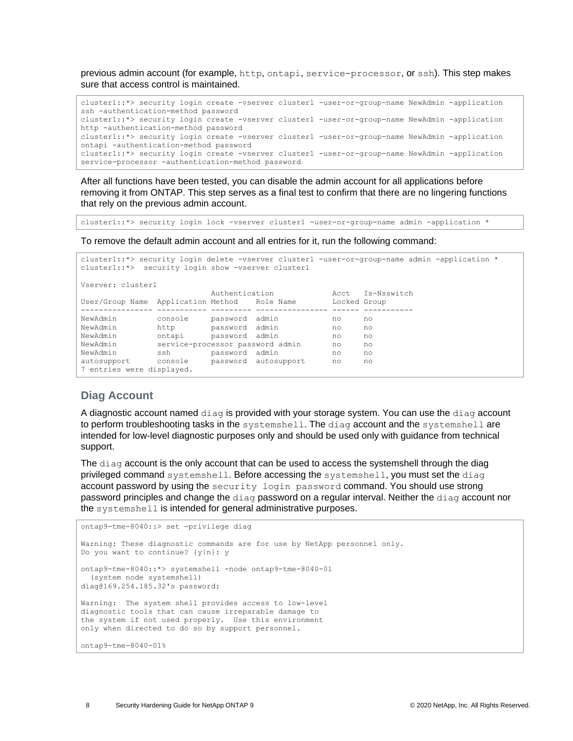previous admin account (for example, http, ontapi, service-processor, or ssh). This step makes sure that access control is maintained.

```
cluster1::*> security login create -vserver cluster1 -user-or-group-name NewAdmin -application 
ssh -authentication-method password
cluster1::*> security login create -vserver cluster1 -user-or-group-name NewAdmin -application 
http -authentication-method password
cluster1::*> security login create -vserver cluster1 -user-or-group-name NewAdmin -application 
ontapi -authentication-method password
cluster1::*> security login create -vserver cluster1 -user-or-group-name NewAdmin -application 
service-processor -authentication-method password
```
After all functions have been tested, you can disable the admin account for all applications before removing it from ONTAP. This step serves as a final test to confirm that there are no lingering functions that rely on the previous admin account.

cluster1::\*> security login lock -vserver cluster1 -user-or-group-name admin -application \*

To remove the default admin account and all entries for it, run the following command:

```
cluster1::*> security login delete -vserver cluster1 -user-or-group-name admin -application *
cluster1::*> security login show -vserver cluster1
Vserver: cluster1
 Authentication Acct Is-Nsswitch
User/Group Name Application Method Role Name Locked Group
---------------- ----------- --------- ---------------- ------ -----------
NewAdmin console password admin no no
NewAdmin http password admin no no
NewAdmin ontapi password admin no no
NewAdmin service-processor password admin no no
NewAdmin ssh password admin no no
autosupport console password autosupport no no
7 entries were displayed.
```
#### **Diag Account**

A diagnostic account named diag is provided with your storage system. You can use the diag account to perform troubleshooting tasks in the systemshell. The diag account and the systemshell are intended for low-level diagnostic purposes only and should be used only with guidance from technical support.

The diag account is the only account that can be used to access the systemshell through the diag privileged command systemshell. Before accessing the systemshell, you must set the diag account password by using the security login password command. You should use strong password principles and change the diag password on a regular interval. Neither the diag account nor the systemshell is intended for general administrative purposes.

```
ontap9-tme-8040::> set -privilege diag
Warning: These diagnostic commands are for use by NetApp personnel only.
Do you want to continue? {y|n}: y
ontap9-tme-8040::*> systemshell -node ontap9-tme-8040-01
  (system node systemshell)
diag@169.254.185.32's password:
Warning: The system shell provides access to low-level
diagnostic tools that can cause irreparable damage to
the system if not used properly. Use this environment
only when directed to do so by support personnel.
ontap9-tme-8040-01%
```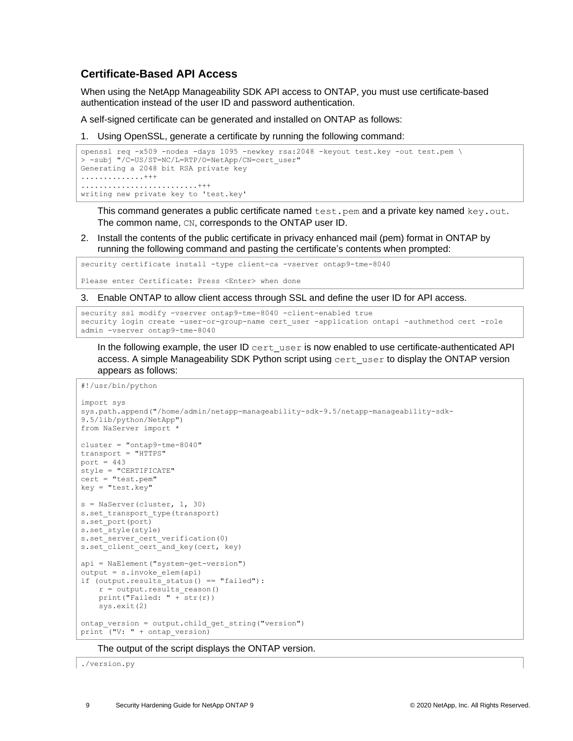#### <span id="page-8-0"></span>**Certificate-Based API Access**

When using the NetApp Manageability SDK API access to ONTAP, you must use certificate-based authentication instead of the user ID and password authentication.

A self-signed certificate can be generated and installed on ONTAP as follows:

1. Using OpenSSL, generate a certificate by running the following command:

```
openssl req -x509 -nodes -days 1095 -newkey rsa:2048 -keyout test.key -out test.pem \
> -subj "/C=US/ST=NC/L=RTP/O=NetApp/CN=cert_user"
Generating a 2048 bit RSA private key
..............+++
..........................+++
writing new private key to 'test.key'
```
This command generates a public certificate named  $test.pem$  and a private key named  $key.out$ . The common name, CN, corresponds to the ONTAP user ID.

2. Install the contents of the public certificate in privacy enhanced mail (pem) format in ONTAP by running the following command and pasting the certificate's contents when prompted:

security certificate install -type client-ca -vserver ontap9-tme-8040

Please enter Certificate: Press <Enter> when done

3. Enable ONTAP to allow client access through SSL and define the user ID for API access.

```
security ssl modify -vserver ontap9-tme-8040 -client-enabled true
security login create -user-or-group-name cert user -application ontapi -authmethod cert -role
admin -vserver ontap9-tme-8040
```
In the following example, the user ID  $cent\_user$  is now enabled to use certificate-authenticated API access. A simple Manageability SDK Python script using cert\_user to display the ONTAP version appears as follows:

#!/usr/bin/python

```
import sys
sys.path.append("/home/admin/netapp-manageability-sdk-9.5/netapp-manageability-sdk-
9.5/lib/python/NetApp")
from NaServer import *
cluster = "ontap9-tme-8040"
transport = "HTTPS"
port = 443style = "CERTIFICATE"
cert = "test.pem"
key = "test-key"s = NaServer(cluster, 1, 30)
s.set_transport_type(transport)
s.set_port(port)
s.set_style(style)
s.set<sup>s</sup>erver cert verification(0)
s.set_client_cert_and_key(cert, key)
api = NaElement("system-get-version")
output = s.invoke_elem(api)
if (output.results status() == "failed"):
    r = output.results_reason()
   print("Failed: " + 5tr(r))
    sys.exit(2)
ontap_version = output.child_get_string("version")
print (''V: " + ontap version)
```
The output of the script displays the ONTAP version.

./version.py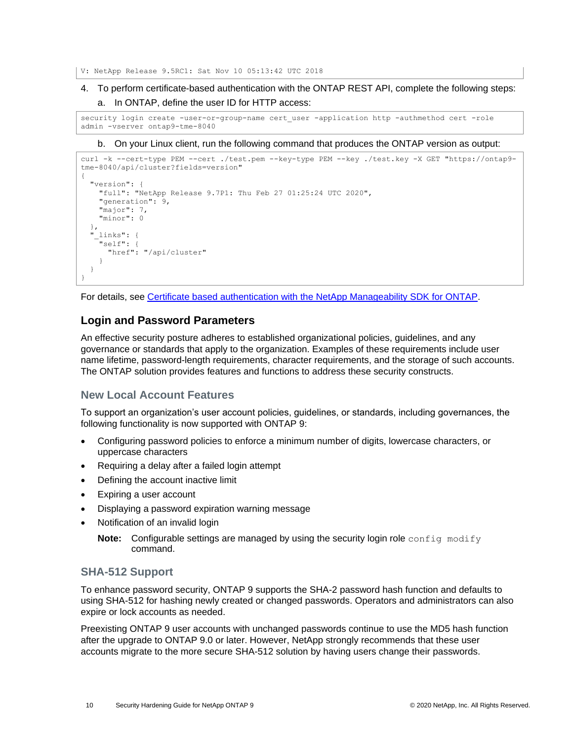V: NetApp Release 9.5RC1: Sat Nov 10 05:13:42 UTC 2018

4. To perform certificate-based authentication with the ONTAP REST API, complete the following steps: a. In ONTAP, define the user ID for HTTP access:

security login create -user-or-group-name cert user -application http -authmethod cert -role admin -vserver ontap9-tme-8040

#### b. On your Linux client, run the following command that produces the ONTAP version as output:

```
curl -k --cert-type PEM --cert ./test.pem --key-type PEM --key ./test.key -X GET "https://ontap9-
tme-8040/api/cluster?fields=version"
{
   "version": {
     "full": "NetApp Release 9.7P1: Thu Feb 27 01:25:24 UTC 2020",
     "generation": 9,
     "major": 7,
     "minor": 0
 },
   "_links": {
     "self": {
       "href": "/api/cluster"
     }
   }
}
```
For details, see [Certificate based authentication with the NetApp Manageability SDK for ONTAP.](https://netapp.io/2016/11/08/certificate-based-authentication-netapp-manageability-sdk-ontap/)

#### <span id="page-9-0"></span>**Login and Password Parameters**

An effective security posture adheres to established organizational policies, guidelines, and any governance or standards that apply to the organization. Examples of these requirements include user name lifetime, password-length requirements, character requirements, and the storage of such accounts. The ONTAP solution provides features and functions to address these security constructs.

#### **New Local Account Features**

To support an organization's user account policies, guidelines, or standards, including governances, the following functionality is now supported with ONTAP 9:

- Configuring password policies to enforce a minimum number of digits, lowercase characters, or uppercase characters
- Requiring a delay after a failed login attempt
- Defining the account inactive limit
- Expiring a user account
- Displaying a password expiration warning message
- Notification of an invalid login
	- **Note:** Configurable settings are managed by using the security login role config modify command.

#### **SHA-512 Support**

To enhance password security, ONTAP 9 supports the SHA-2 password hash function and defaults to using SHA-512 for hashing newly created or changed passwords. Operators and administrators can also expire or lock accounts as needed.

Preexisting ONTAP 9 user accounts with unchanged passwords continue to use the MD5 hash function after the upgrade to ONTAP 9.0 or later. However, NetApp strongly recommends that these user accounts migrate to the more secure SHA-512 solution by having users change their passwords.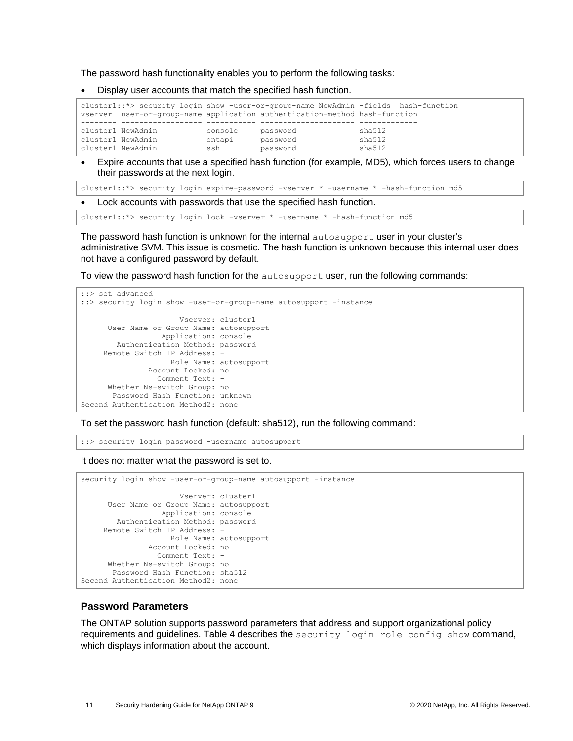The password hash functionality enables you to perform the following tasks:

• Display user accounts that match the specified hash function.

|                   |         |                                                                            | cluster1::*> security login show -user-or-group-name NewAdmin -fields hash-function |
|-------------------|---------|----------------------------------------------------------------------------|-------------------------------------------------------------------------------------|
|                   |         | vserver user-or-group-name application authentication-method hash-function |                                                                                     |
|                   |         |                                                                            |                                                                                     |
| cluster1 NewAdmin | console | password                                                                   | sha512                                                                              |
| cluster1 NewAdmin | ontapi  | password                                                                   | sha512                                                                              |
| cluster1 NewAdmin | ssh     | password                                                                   | sha512                                                                              |

Expire accounts that use a specified hash function (for example, MD5), which forces users to change their passwords at the next login.

```
cluster1::*> security login expire-password -vserver * -username * -hash-function md5
```
Lock accounts with passwords that use the specified hash function.

cluster1::\*> security login lock -vserver \* -username \* -hash-function md5

The password hash function is unknown for the internal autosupport user in your cluster's administrative SVM. This issue is cosmetic. The hash function is unknown because this internal user does not have a configured password by default.

To view the password hash function for the autosupport user, run the following commands:

```
::> set advanced
::> security login show -user-or-group-name autosupport -instance
                      Vserver: cluster1
      User Name or Group Name: autosupport
                 Application: console
       Authentication Method: password
    Remote Switch IP Address:
                    Role Name: autosupport
               Account Locked: no
                Comment Text: -
      Whether Ns-switch Group: no
       Password Hash Function: unknown
Second Authentication Method2: none
```
To set the password hash function (default: sha512), run the following command:

::> security login password -username autosupport

It does not matter what the password is set to.

```
security login show -user-or-group-name autosupport -instance
                      Vserver: cluster1
      User Name or Group Name: autosupport
                  Application: console
       Authentication Method: password
     Remote Switch IP Address: -
                    Role Name: autosupport
               Account Locked: no
                 Comment Text: -
      Whether Ns-switch Group: no
        Password Hash Function: sha512
Second Authentication Method2: none
```
#### **Password Parameters**

The ONTAP solution supports password parameters that address and support organizational policy requirements and guidelines. [Table 4](#page-11-0) describes the security login role config show command, which displays information about the account.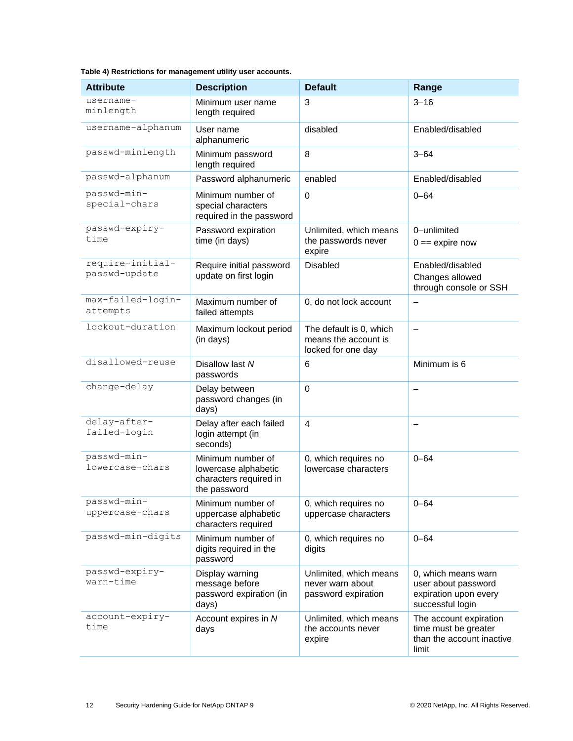<span id="page-11-0"></span>

|  | Table 4) Restrictions for management utility user accounts. |  |  |  |  |  |
|--|-------------------------------------------------------------|--|--|--|--|--|
|--|-------------------------------------------------------------|--|--|--|--|--|

| <b>Attribute</b>                  | <b>Description</b>                                                                  | <b>Default</b>                                                        | Range                                                                                   |
|-----------------------------------|-------------------------------------------------------------------------------------|-----------------------------------------------------------------------|-----------------------------------------------------------------------------------------|
| username-<br>minlength            | Minimum user name<br>length required                                                | 3                                                                     | $3 - 16$                                                                                |
| username-alphanum                 | User name<br>alphanumeric                                                           | disabled                                                              | Enabled/disabled                                                                        |
| passwd-minlength                  | Minimum password<br>length required                                                 | 8                                                                     | $3 - 64$                                                                                |
| passwd-alphanum                   | Password alphanumeric                                                               | enabled                                                               | Enabled/disabled                                                                        |
| passwd-min-<br>special-chars      | Minimum number of<br>special characters<br>required in the password                 | $\Omega$                                                              | $0 - 64$                                                                                |
| passwd-expiry-<br>time            | Password expiration<br>time (in days)                                               | Unlimited, which means<br>the passwords never<br>expire               | 0-unlimited<br>$0 ==$ expire now                                                        |
| require-initial-<br>passwd-update | Require initial password<br>update on first login                                   | <b>Disabled</b>                                                       | Enabled/disabled<br>Changes allowed<br>through console or SSH                           |
| max-failed-login-<br>attempts     | Maximum number of<br>failed attempts                                                | 0, do not lock account                                                |                                                                                         |
| lockout-duration                  | Maximum lockout period<br>(in days)                                                 | The default is 0, which<br>means the account is<br>locked for one day | $\qquad \qquad -$                                                                       |
| disallowed-reuse                  | Disallow last N<br>passwords                                                        | 6                                                                     | Minimum is 6                                                                            |
| change-delay                      | Delay between<br>password changes (in<br>days)                                      | $\mathbf 0$                                                           |                                                                                         |
| delay-after-<br>failed-login      | Delay after each failed<br>login attempt (in<br>seconds)                            | $\overline{\mathbf{4}}$                                               |                                                                                         |
| passwd-min-<br>lowercase-chars    | Minimum number of<br>lowercase alphabetic<br>characters required in<br>the password | 0, which requires no<br>lowercase characters                          | $0 - 64$                                                                                |
| passwd-min-<br>uppercase-chars    | Minimum number of<br>uppercase alphabetic<br>characters required                    | 0, which requires no<br>uppercase characters                          | $0 - 64$                                                                                |
| passwd-min-digits                 | Minimum number of<br>digits required in the<br>password                             | 0, which requires no<br>digits                                        | $0 - 64$                                                                                |
| passwd-expiry-<br>warn-time       | Display warning<br>message before<br>password expiration (in<br>days)               | Unlimited, which means<br>never warn about<br>password expiration     | 0, which means warn<br>user about password<br>expiration upon every<br>successful login |
| account-expiry-<br>time           | Account expires in N<br>days                                                        | Unlimited, which means<br>the accounts never<br>expire                | The account expiration<br>time must be greater<br>than the account inactive<br>limit    |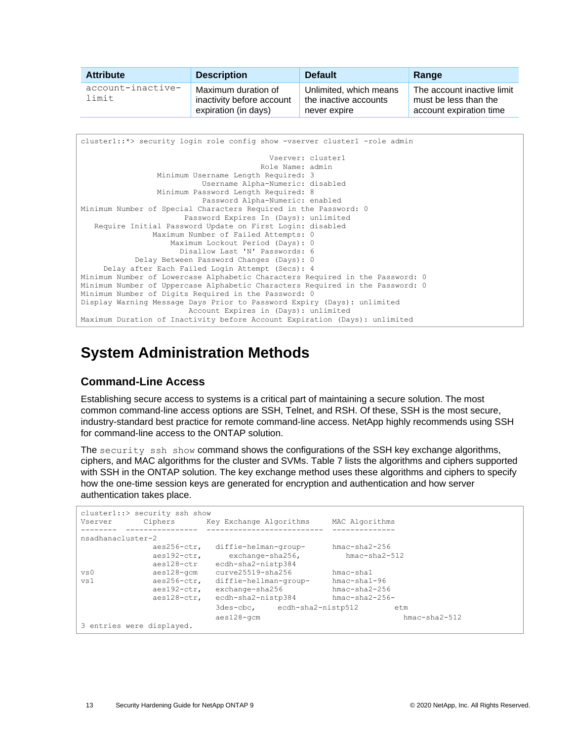| <b>Attribute</b>           | <b>Description</b>                                                       | <b>Default</b>                                                  | Range                                                                          |
|----------------------------|--------------------------------------------------------------------------|-----------------------------------------------------------------|--------------------------------------------------------------------------------|
| account-inactive-<br>limit | Maximum duration of<br>inactivity before account<br>expiration (in days) | Unlimited, which means<br>the inactive accounts<br>never expire | The account inactive limit<br>must be less than the<br>account expiration time |

```
cluster1::*> security login role config show -vserver cluster1 -role admin
                                           Vserver: cluster1
                                         Role Name: admin
                  Minimum Username Length Required: 3
                           Username Alpha-Numeric: disabled
                  Minimum Password Length Required: 8
                           Password Alpha-Numeric: enabled
Minimum Number of Special Characters Required in the Password: 0
                       Password Expires In (Days): unlimited
    Require Initial Password Update on First Login: disabled
                Maximum Number of Failed Attempts: 0
                    Maximum Lockout Period (Days): 0
                      Disallow Last 'N' Passwords: 6
            Delay Between Password Changes (Days): 0
     Delay after Each Failed Login Attempt (Secs): 4
Minimum Number of Lowercase Alphabetic Characters Required in the Password: 0
Minimum Number of Uppercase Alphabetic Characters Required in the Password: 0
Minimum Number of Digits Required in the Password: 0
Display Warning Message Days Prior to Password Expiry (Days): unlimited
                        Account Expires in (Days): unlimited
Maximum Duration of Inactivity before Account Expiration (Days): unlimited
```
## <span id="page-12-0"></span>**System Administration Methods**

### <span id="page-12-1"></span>**Command-Line Access**

Establishing secure access to systems is a critical part of maintaining a secure solution. The most common command-line access options are SSH, Telnet, and RSH. Of these, SSH is the most secure, industry-standard best practice for remote command-line access. NetApp highly recommends using SSH for command-line access to the ONTAP solution.

The security ssh show command shows the configurations of the SSH key exchange algorithms, ciphers, and MAC algorithms for the cluster and SVMs. [Table 7](#page-21-2) lists the algorithms and ciphers supported with SSH in the ONTAP solution. The key exchange method uses these algorithms and ciphers to specify how the one-time session keys are generated for encryption and authentication and how server authentication takes place.

|                           | cluster1::> security ssh show |                                        |                    |  |
|---------------------------|-------------------------------|----------------------------------------|--------------------|--|
| Vserver                   | Ciphers                       | Key Exchange Algorithms                | MAC Algorithms     |  |
| nsadhanacluster-2         |                               |                                        |                    |  |
|                           | aes256-ctr,                   | diffie-helman-group-                   | $hmac = sha2-256$  |  |
|                           | aes192-ctr,<br>aes128-ctr     | exchange-sha256,<br>ecdh-sha2-nistp384 | $hmac = sha2-512$  |  |
| vs0                       | aes128-gcm                    | $curve$ 25519-sha $256$                | $h$ mac-sha $1$    |  |
| vs1                       | aes256-ctr,                   | diffie-hellman-group-                  | $hmac = sha1 - 96$ |  |
|                           | $a$ es $192$ -ctr,            | exchange-sha256                        | $hmac - sha2-256$  |  |
|                           | aes128-ctr,                   | ecdh-sha2-nistp384                     | $hmac = sha2-256-$ |  |
|                           |                               | 3des-cbc, ecdh-sha2-nistp512           | etm                |  |
|                           |                               | $aes128 - qcm$                         | $hmac = sha2-512$  |  |
| 3 entries were displayed. |                               |                                        |                    |  |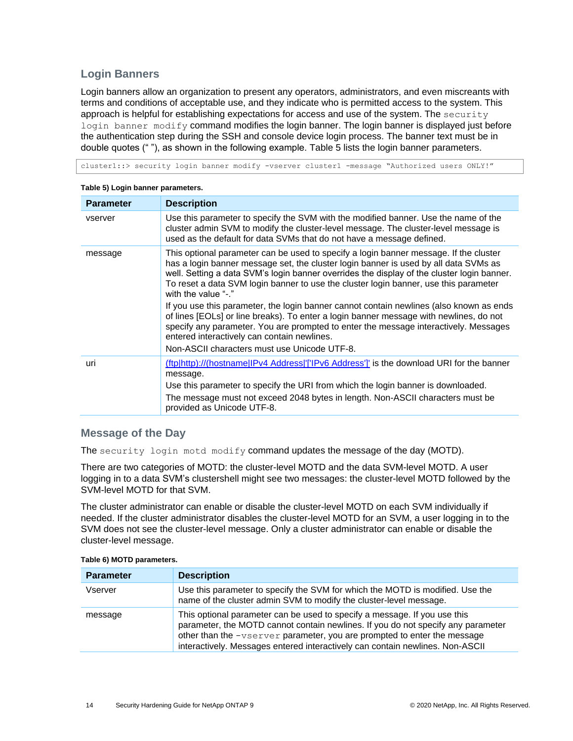#### **Login Banners**

Login banners allow an organization to present any operators, administrators, and even miscreants with terms and conditions of acceptable use, and they indicate who is permitted access to the system. This approach is helpful for establishing expectations for access and use of the system. The security login banner modify command modifies the login banner. The login banner is displayed just before the authentication step during the SSH and console device login process. The banner text must be in double quotes (" "), as shown in the following example. [Table 5](#page-13-0) lists the login banner parameters.

cluster1::> security login banner modify -vserver cluster1 -message "Authorized users ONLY!"

| <b>Parameter</b> | <b>Description</b>                                                                                                                                                                                                                                                                                                                                                                                                                                                                                                                                                                                                                                                                                                                                                     |
|------------------|------------------------------------------------------------------------------------------------------------------------------------------------------------------------------------------------------------------------------------------------------------------------------------------------------------------------------------------------------------------------------------------------------------------------------------------------------------------------------------------------------------------------------------------------------------------------------------------------------------------------------------------------------------------------------------------------------------------------------------------------------------------------|
| vserver          | Use this parameter to specify the SVM with the modified banner. Use the name of the<br>cluster admin SVM to modify the cluster-level message. The cluster-level message is<br>used as the default for data SVMs that do not have a message defined.                                                                                                                                                                                                                                                                                                                                                                                                                                                                                                                    |
| message          | This optional parameter can be used to specify a login banner message. If the cluster<br>has a login banner message set, the cluster login banner is used by all data SVMs as<br>well. Setting a data SVM's login banner overrides the display of the cluster login banner.<br>To reset a data SVM login banner to use the cluster login banner, use this parameter<br>with the value "-."<br>If you use this parameter, the login banner cannot contain newlines (also known as ends<br>of lines [EOLs] or line breaks). To enter a login banner message with newlines, do not<br>specify any parameter. You are prompted to enter the message interactively. Messages<br>entered interactively can contain newlines.<br>Non-ASCII characters must use Unicode UTF-8. |
| uri              | (ftp http)://(hostname IPv4 Address '['IPv6 Address']' is the download URI for the banner<br>message.<br>Use this parameter to specify the URI from which the login banner is downloaded.<br>The message must not exceed 2048 bytes in length. Non-ASCII characters must be<br>provided as Unicode UTF-8.                                                                                                                                                                                                                                                                                                                                                                                                                                                              |

#### <span id="page-13-0"></span>**Table 5) Login banner parameters.**

#### **Message of the Day**

The security login motd modify command updates the message of the day (MOTD).

There are two categories of MOTD: the cluster-level MOTD and the data SVM-level MOTD. A user logging in to a data SVM's clustershell might see two messages: the cluster-level MOTD followed by the SVM-level MOTD for that SVM.

The cluster administrator can enable or disable the cluster-level MOTD on each SVM individually if needed. If the cluster administrator disables the cluster-level MOTD for an SVM, a user logging in to the SVM does not see the cluster-level message. Only a cluster administrator can enable or disable the cluster-level message.

| <b>Parameter</b> | <b>Description</b>                                                                                                                                                                                                                                                                                                         |
|------------------|----------------------------------------------------------------------------------------------------------------------------------------------------------------------------------------------------------------------------------------------------------------------------------------------------------------------------|
| Vserver          | Use this parameter to specify the SVM for which the MOTD is modified. Use the<br>name of the cluster admin SVM to modify the cluster-level message.                                                                                                                                                                        |
| message          | This optional parameter can be used to specify a message. If you use this<br>parameter, the MOTD cannot contain newlines. If you do not specify any parameter<br>other than the -vserver parameter, you are prompted to enter the message<br>interactively. Messages entered interactively can contain newlines. Non-ASCII |

#### <span id="page-13-1"></span>**Table 6) MOTD parameters.**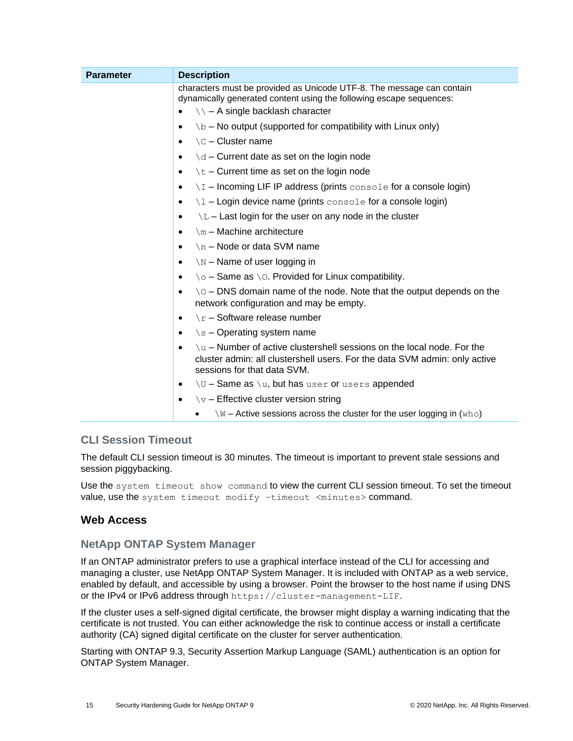| <b>Parameter</b> | <b>Description</b>                                                                                                                                                                     |
|------------------|----------------------------------------------------------------------------------------------------------------------------------------------------------------------------------------|
|                  | characters must be provided as Unicode UTF-8. The message can contain<br>dynamically generated content using the following escape sequences:                                           |
|                  | $\setminus$ – A single backlash character<br>$\bullet$                                                                                                                                 |
|                  | $\forall b$ – No output (supported for compatibility with Linux only)<br>٠                                                                                                             |
|                  | $\setminus$ C – Cluster name<br>٠                                                                                                                                                      |
|                  | $\dagger$ $d$ – Current date as set on the login node                                                                                                                                  |
|                  | $\setminus t$ – Current time as set on the login node<br>٠                                                                                                                             |
|                  | $\setminus I$ – Incoming LIF IP address (prints console for a console login)<br>٠                                                                                                      |
|                  | $\lambda$ – Login device name (prints console for a console login)<br>$\bullet$                                                                                                        |
|                  | $\mathcal{L}$ – Last login for the user on any node in the cluster<br>٠                                                                                                                |
|                  | $\mathbb{m}$ – Machine architecture<br>٠                                                                                                                                               |
|                  | \n - Node or data SVM name<br>٠                                                                                                                                                        |
|                  | $\sum_{N}$ – Name of user logging in<br>$\bullet$                                                                                                                                      |
|                  | $\setminus \circ$ – Same as $\setminus \circ$ . Provided for Linux compatibility.<br>$\bullet$                                                                                         |
|                  | $\Diamond$ – DNS domain name of the node. Note that the output depends on the<br>٠<br>network configuration and may be empty.                                                          |
|                  | $\chi$ r – Software release number<br>$\bullet$                                                                                                                                        |
|                  | $\succeq$ - Operating system name<br>٠                                                                                                                                                 |
|                  | $\mu$ – Number of active clustershell sessions on the local node. For the<br>cluster admin: all clustershell users. For the data SVM admin: only active<br>sessions for that data SVM. |
|                  | $\U$ – Same as $\U$ , but has user or users appended<br>$\bullet$                                                                                                                      |
|                  | $\forall v$ – Effective cluster version string<br>٠                                                                                                                                    |
|                  | $\sqrt{w}$ – Active sessions across the cluster for the user logging in (who)                                                                                                          |

### **CLI Session Timeout**

The default CLI session timeout is 30 minutes. The timeout is important to prevent stale sessions and session piggybacking.

Use the system timeout show command to view the current CLI session timeout. To set the timeout value, use the system timeout modify –timeout <minutes> command.

### <span id="page-14-0"></span>**Web Access**

### **NetApp ONTAP System Manager**

If an ONTAP administrator prefers to use a graphical interface instead of the CLI for accessing and managing a cluster, use NetApp ONTAP System Manager. It is included with ONTAP as a web service, enabled by default, and accessible by using a browser. Point the browser to the host name if using DNS or the IPv4 or IPv6 address through https://cluster-management-LIF.

If the cluster uses a self-signed digital certificate, the browser might display a warning indicating that the certificate is not trusted. You can either acknowledge the risk to continue access or install a certificate authority (CA) signed digital certificate on the cluster for server authentication.

Starting with ONTAP 9.3, Security Assertion Markup Language (SAML) authentication is an option for ONTAP System Manager.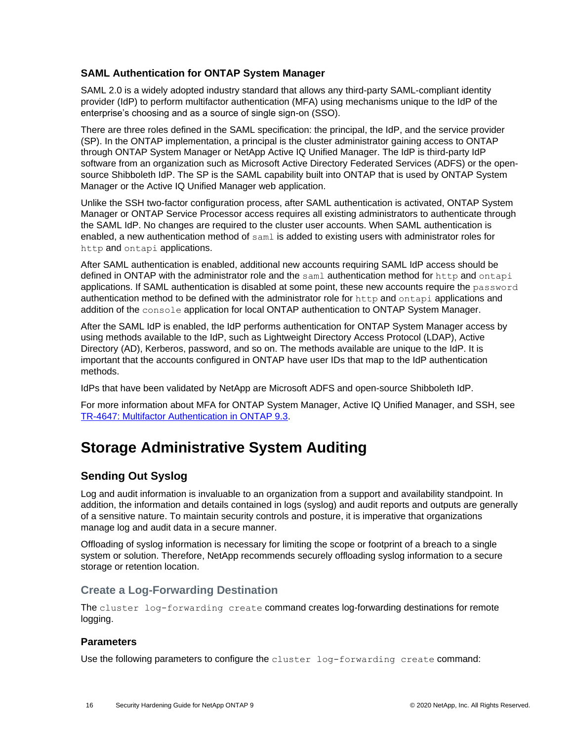#### **SAML Authentication for ONTAP System Manager**

SAML 2.0 is a widely adopted industry standard that allows any third-party SAML-compliant identity provider (IdP) to perform multifactor authentication (MFA) using mechanisms unique to the IdP of the enterprise's choosing and as a source of single sign-on (SSO).

There are three roles defined in the SAML specification: the principal, the IdP, and the service provider (SP). In the ONTAP implementation, a principal is the cluster administrator gaining access to ONTAP through ONTAP System Manager or NetApp Active IQ Unified Manager. The IdP is third-party IdP software from an organization such as Microsoft Active Directory Federated Services (ADFS) or the opensource Shibboleth IdP. The SP is the SAML capability built into ONTAP that is used by ONTAP System Manager or the Active IQ Unified Manager web application.

Unlike the SSH two-factor configuration process, after SAML authentication is activated, ONTAP System Manager or ONTAP Service Processor access requires all existing administrators to authenticate through the SAML IdP. No changes are required to the cluster user accounts. When SAML authentication is enabled, a new authentication method of saml is added to existing users with administrator roles for http and ontapi applications.

After SAML authentication is enabled, additional new accounts requiring SAML IdP access should be defined in ONTAP with the administrator role and the saml authentication method for http and ontapi applications. If SAML authentication is disabled at some point, these new accounts require the password authentication method to be defined with the administrator role for http and ontapi applications and addition of the console application for local ONTAP authentication to ONTAP System Manager.

After the SAML IdP is enabled, the IdP performs authentication for ONTAP System Manager access by using methods available to the IdP, such as Lightweight Directory Access Protocol (LDAP), Active Directory (AD), Kerberos, password, and so on. The methods available are unique to the IdP. It is important that the accounts configured in ONTAP have user IDs that map to the IdP authentication methods.

IdPs that have been validated by NetApp are Microsoft ADFS and open-source Shibboleth IdP.

For more information about MFA for ONTAP System Manager, Active IQ Unified Manager, and SSH, see [TR-4647: Multifactor](http://www.netapp.com/us/media/tr-4647.pdf) Authentication in ONTAP 9.3.

## <span id="page-15-0"></span>**Storage Administrative System Auditing**

### <span id="page-15-1"></span>**Sending Out Syslog**

Log and audit information is invaluable to an organization from a support and availability standpoint. In addition, the information and details contained in logs (syslog) and audit reports and outputs are generally of a sensitive nature. To maintain security controls and posture, it is imperative that organizations manage log and audit data in a secure manner.

Offloading of syslog information is necessary for limiting the scope or footprint of a breach to a single system or solution. Therefore, NetApp recommends securely offloading syslog information to a secure storage or retention location.

### **Create a Log-Forwarding Destination**

The cluster log-forwarding create command creates log-forwarding destinations for remote logging.

#### **Parameters**

Use the following parameters to configure the cluster log-forwarding create command: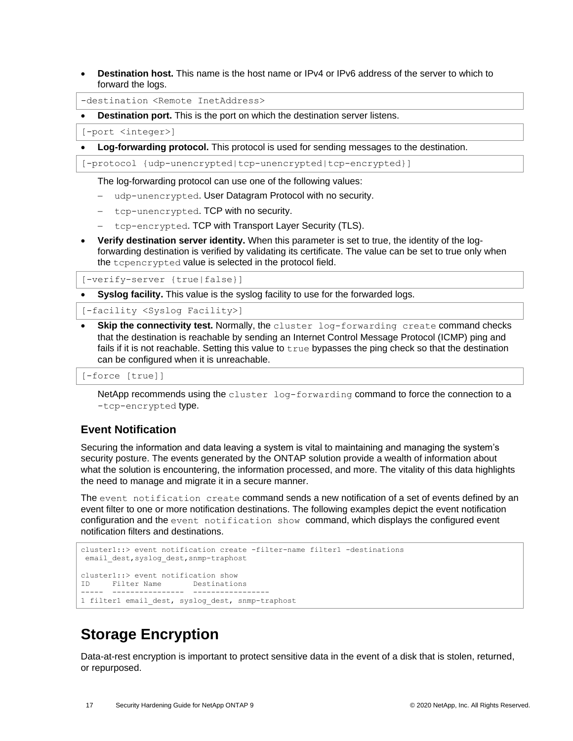• **Destination host.** This name is the host name or IPv4 or IPv6 address of the server to which to forward the logs.

-destination <Remote InetAddress>

**Destination port.** This is the port on which the destination server listens.

[-port <integer>]

• **Log-forwarding protocol.** This protocol is used for sending messages to the destination.

[-protocol {udp-unencrypted|tcp-unencrypted|tcp-encrypted}]

The log-forwarding protocol can use one of the following values:

- − udp-unencrypted. User Datagram Protocol with no security.
- − tcp-unencrypted. TCP with no security.
- tcp-encrypted. TCP with Transport Layer Security (TLS).
- **Verify destination server identity.** When this parameter is set to true, the identity of the logforwarding destination is verified by validating its certificate. The value can be set to true only when the tcpencrypted value is selected in the protocol field.

[-verify-server {true|false}]

**Syslog facility.** This value is the syslog facility to use for the forwarded logs.

[-facility <Syslog Facility>]

• **Skip the connectivity test.** Normally, the cluster log-forwarding create command checks that the destination is reachable by sending an Internet Control Message Protocol (ICMP) ping and fails if it is not reachable. Setting this value to  $true$  bypasses the ping check so that the destination can be configured when it is unreachable.

```
[-force [true]]
```
NetApp recommends using the cluster log-forwarding command to force the connection to a -tcp-encrypted type.

#### <span id="page-16-0"></span>**Event Notification**

Securing the information and data leaving a system is vital to maintaining and managing the system's security posture. The events generated by the ONTAP solution provide a wealth of information about what the solution is encountering, the information processed, and more. The vitality of this data highlights the need to manage and migrate it in a secure manner.

The event notification create command sends a new notification of a set of events defined by an event filter to one or more notification destinations. The following examples depict the event notification configuration and the event notification show command, which displays the configured event notification filters and destinations.

```
cluster1::> event notification create -filter-name filter1 -destinations
email dest, syslog dest, snmp-traphost
cluster1::> event notification show
ID Filter Name Destinations
----- ---------------- -----------------
1 filter1 email dest, syslog dest, snmp-traphost
```
## <span id="page-16-1"></span>**Storage Encryption**

Data-at-rest encryption is important to protect sensitive data in the event of a disk that is stolen, returned, or repurposed.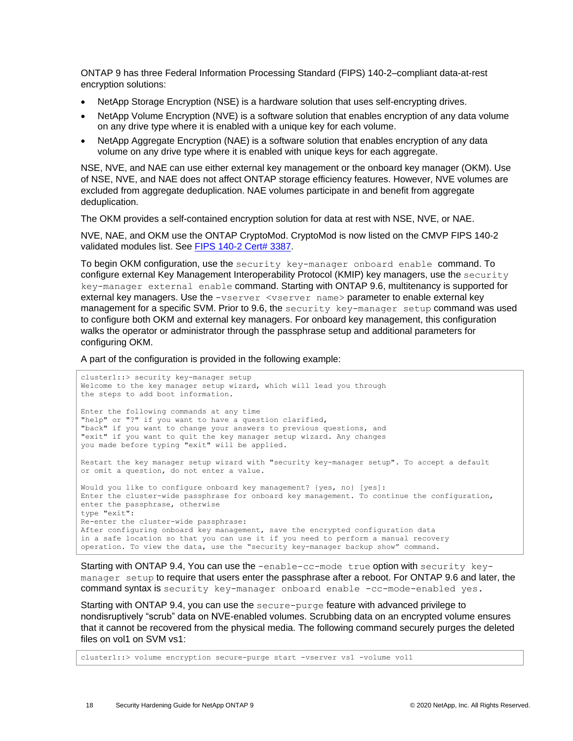ONTAP 9 has three Federal Information Processing Standard (FIPS) 140-2–compliant data-at-rest encryption solutions:

- NetApp Storage Encryption (NSE) is a hardware solution that uses self-encrypting drives.
- NetApp Volume Encryption (NVE) is a software solution that enables encryption of any data volume on any drive type where it is enabled with a unique key for each volume.
- NetApp Aggregate Encryption (NAE) is a software solution that enables encryption of any data volume on any drive type where it is enabled with unique keys for each aggregate.

NSE, NVE, and NAE can use either external key management or the onboard key manager (OKM). Use of NSE, NVE, and NAE does not affect ONTAP storage efficiency features. However, NVE volumes are excluded from aggregate deduplication. NAE volumes participate in and benefit from aggregate deduplication.

The OKM provides a self-contained encryption solution for data at rest with NSE, NVE, or NAE.

NVE, NAE, and OKM use the ONTAP CryptoMod. CryptoMod is now listed on the CMVP FIPS 140-2 validated modules list. See [FIPS 140-2 Cert# 3387.](https://csrc.nist.gov/Projects/cryptographic-module-validation-program/Certificate/3387)

To begin OKM configuration, use the security key-manager onboard enable command. To configure external Key Management Interoperability Protocol (KMIP) key managers, use the security key-manager external enable command. Starting with ONTAP 9.6, multitenancy is supported for external key managers. Use the -vserver <vserver name> parameter to enable external key management for a specific SVM. Prior to 9.6, the security key-manager setup command was used to configure both OKM and external key managers. For onboard key management, this configuration walks the operator or administrator through the passphrase setup and additional parameters for configuring OKM.

A part of the configuration is provided in the following example:

```
cluster1::> security key-manager setup
Welcome to the key manager setup wizard, which will lead you through
the steps to add boot information.
Enter the following commands at any time
"help" or "?" if you want to have a question clarified,
"back" if you want to change your answers to previous questions, and
"exit" if you want to quit the key manager setup wizard. Any changes
you made before typing "exit" will be applied.
Restart the key manager setup wizard with "security key-manager setup". To accept a default
or omit a question, do not enter a value.
Would you like to configure onboard key management? {yes, no} [yes]:
Enter the cluster-wide passphrase for onboard key management. To continue the configuration, 
enter the passphrase, otherwise
type "exit":
Re-enter the cluster-wide passphrase:
After configuring onboard key management, save the encrypted configuration data
in a safe location so that you can use it if you need to perform a manual recovery
operation. To view the data, use the "security key-manager backup show" command.
```
Starting with ONTAP 9.4, You can use the -enable-cc-mode true option with security keymanager setup to require that users enter the passphrase after a reboot. For ONTAP 9.6 and later, the command syntax is security key-manager onboard enable -cc-mode-enabled yes.

Starting with ONTAP 9.4, you can use the secure-purge feature with advanced privilege to nondisruptively "scrub" data on NVE-enabled volumes. Scrubbing data on an encrypted volume ensures that it cannot be recovered from the physical media. The following command securely purges the deleted files on vol1 on SVM vs1:

cluster1::> volume encryption secure-purge start -vserver vs1 -volume vol1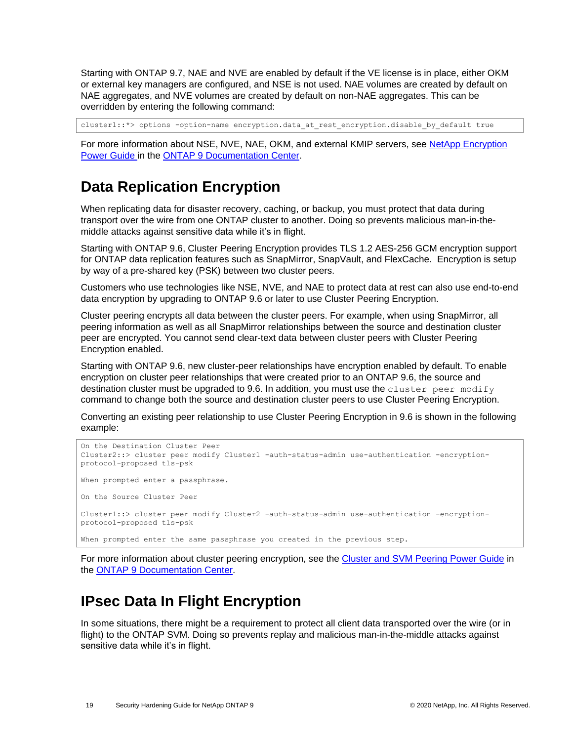Starting with ONTAP 9.7, NAE and NVE are enabled by default if the VE license is in place, either OKM or external key managers are configured, and NSE is not used. NAE volumes are created by default on NAE aggregates, and NVE volumes are created by default on non-NAE aggregates. This can be overridden by entering the following command:

cluster1::\*> options -option-name encryption.data at rest encryption.disable by default true

For more information about NSE, NVE, NAE, OKM, and external KMIP servers, see NetApp Encryption [Power Guide](http://docs.netapp.com/ontap-9/topic/com.netapp.doc.pow-nve/home.html) in the [ONTAP 9 Documentation Center.](http://docs.netapp.com/ontap-9/index.jsp)

## <span id="page-18-0"></span>**Data Replication Encryption**

When replicating data for disaster recovery, caching, or backup, you must protect that data during transport over the wire from one ONTAP cluster to another. Doing so prevents malicious man-in-themiddle attacks against sensitive data while it's in flight.

Starting with ONTAP 9.6, Cluster Peering Encryption provides TLS 1.2 AES-256 GCM encryption support for ONTAP data replication features such as SnapMirror, SnapVault, and FlexCache. Encryption is setup by way of a pre-shared key (PSK) between two cluster peers.

Customers who use technologies like NSE, NVE, and NAE to protect data at rest can also use end-to-end data encryption by upgrading to ONTAP 9.6 or later to use Cluster Peering Encryption.

Cluster peering encrypts all data between the cluster peers. For example, when using SnapMirror, all peering information as well as all SnapMirror relationships between the source and destination cluster peer are encrypted. You cannot send clear-text data between cluster peers with Cluster Peering Encryption enabled.

Starting with ONTAP 9.6, new cluster-peer relationships have encryption enabled by default. To enable encryption on cluster peer relationships that were created prior to an ONTAP 9.6, the source and destination cluster must be upgraded to 9.6. In addition, you must use the cluster peer modify command to change both the source and destination cluster peers to use Cluster Peering Encryption.

Converting an existing peer relationship to use Cluster Peering Encryption in 9.6 is shown in the following example:

```
On the Destination Cluster Peer
Cluster2::> cluster peer modify Cluster1 -auth-status-admin use-authentication -encryption-
protocol-proposed tls-psk
When prompted enter a passphrase.
On the Source Cluster Peer
Cluster1::> cluster peer modify Cluster2 -auth-status-admin use-authentication -encryption-
protocol-proposed tls-psk
When prompted enter the same passphrase you created in the previous step.
```
For more information about cluster peering encryption, see the [Cluster and SVM Peering Power Guide](http://docs.netapp.com/ontap-9/topic/com.netapp.doc.pow-csp/home.html) in the [ONTAP 9 Documentation Center.](http://docs.netapp.com/ontap-9/index.jsp)

## <span id="page-18-1"></span>**IPsec Data In Flight Encryption**

In some situations, there might be a requirement to protect all client data transported over the wire (or in flight) to the ONTAP SVM. Doing so prevents replay and malicious man-in-the-middle attacks against sensitive data while it's in flight.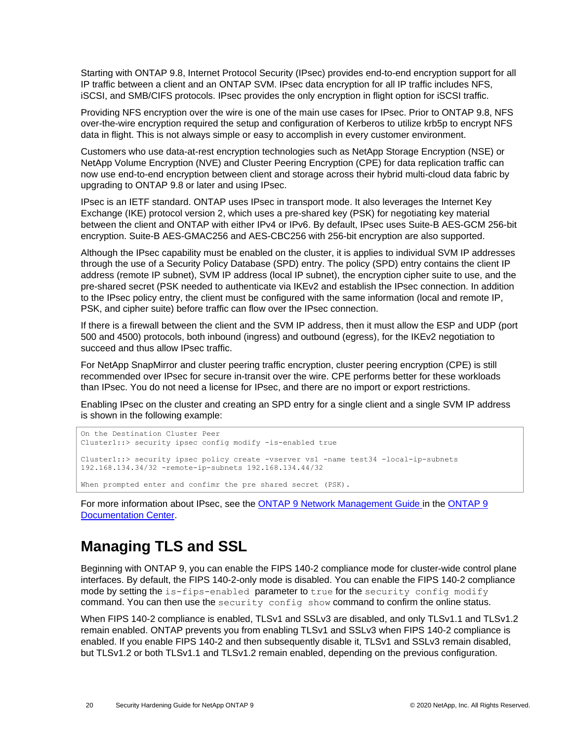Starting with ONTAP 9.8, Internet Protocol Security (IPsec) provides end-to-end encryption support for all IP traffic between a client and an ONTAP SVM. IPsec data encryption for all IP traffic includes NFS, iSCSI, and SMB/CIFS protocols. IPsec provides the only encryption in flight option for iSCSI traffic.

Providing NFS encryption over the wire is one of the main use cases for IPsec. Prior to ONTAP 9.8, NFS over-the-wire encryption required the setup and configuration of Kerberos to utilize krb5p to encrypt NFS data in flight. This is not always simple or easy to accomplish in every customer environment.

Customers who use data-at-rest encryption technologies such as NetApp Storage Encryption (NSE) or NetApp Volume Encryption (NVE) and Cluster Peering Encryption (CPE) for data replication traffic can now use end-to-end encryption between client and storage across their hybrid multi-cloud data fabric by upgrading to ONTAP 9.8 or later and using IPsec.

IPsec is an IETF standard. ONTAP uses IPsec in transport mode. It also leverages the Internet Key Exchange (IKE) protocol version 2, which uses a pre-shared key (PSK) for negotiating key material between the client and ONTAP with either IPv4 or IPv6. By default, IPsec uses Suite-B AES-GCM 256-bit encryption. Suite-B AES-GMAC256 and AES-CBC256 with 256-bit encryption are also supported.

Although the IPsec capability must be enabled on the cluster, it is applies to individual SVM IP addresses through the use of a Security Policy Database (SPD) entry. The policy (SPD) entry contains the client IP address (remote IP subnet), SVM IP address (local IP subnet), the encryption cipher suite to use, and the pre-shared secret (PSK needed to authenticate via IKEv2 and establish the IPsec connection. In addition to the IPsec policy entry, the client must be configured with the same information (local and remote IP, PSK, and cipher suite) before traffic can flow over the IPsec connection.

If there is a firewall between the client and the SVM IP address, then it must allow the ESP and UDP (port 500 and 4500) protocols, both inbound (ingress) and outbound (egress), for the IKEv2 negotiation to succeed and thus allow IPsec traffic.

For NetApp SnapMirror and cluster peering traffic encryption, cluster peering encryption (CPE) is still recommended over IPsec for secure in-transit over the wire. CPE performs better for these workloads than IPsec. You do not need a license for IPsec, and there are no import or export restrictions.

Enabling IPsec on the cluster and creating an SPD entry for a single client and a single SVM IP address is shown in the following example:

```
On the Destination Cluster Peer
Cluster1::> security ipsec config modify -is-enabled true
Cluster1::> security ipsec policy create -vserver vs1 -name test34 -local-ip-subnets 
192.168.134.34/32 -remote-ip-subnets 192.168.134.44/32
When prompted enter and confimr the pre shared secret (PSK).
```
For more information about IPsec, see the **ONTAP 9 Network Management Guide in the ONTAP 9** [Documentation Center.](http://docs.netapp.com/ontap-9/index.jsp)

### **Managing TLS and SSL**

Beginning with ONTAP 9, you can enable the FIPS 140-2 compliance mode for cluster-wide control plane interfaces. By default, the FIPS 140-2-only mode is disabled. You can enable the FIPS 140-2 compliance mode by setting the is-fips-enabled parameter to true for the security config modify command. You can then use the security config show command to confirm the online status.

When FIPS 140-2 compliance is enabled, TLSv1 and SSLv3 are disabled, and only TLSv1.1 and TLSv1.2 remain enabled. ONTAP prevents you from enabling TLSv1 and SSLv3 when FIPS 140-2 compliance is enabled. If you enable FIPS 140-2 and then subsequently disable it, TLSv1 and SSLv3 remain disabled, but TLSv1.2 or both TLSv1.1 and TLSv1.2 remain enabled, depending on the previous configuration.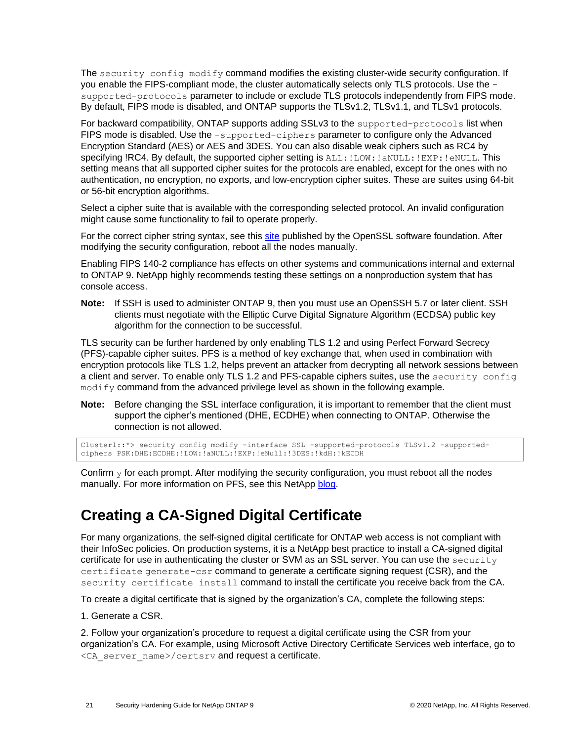The security config modify command modifies the existing cluster-wide security configuration. If you enable the FIPS-compliant mode, the cluster automatically selects only TLS protocols. Use the supported-protocols parameter to include or exclude TLS protocols independently from FIPS mode. By default, FIPS mode is disabled, and ONTAP supports the TLSv1.2, TLSv1.1, and TLSv1 protocols.

For backward compatibility, ONTAP supports adding SSLv3 to the supported-protocols list when FIPS mode is disabled. Use the -supported-ciphers parameter to configure only the Advanced Encryption Standard (AES) or AES and 3DES. You can also disable weak ciphers such as RC4 by specifying !RC4. By default, the supported cipher setting is  $ALL: ! LOW: ! \text{aNULL}: ! EXP: ! \text{eNULL}.$  This setting means that all supported cipher suites for the protocols are enabled, except for the ones with no authentication, no encryption, no exports, and low-encryption cipher suites. These are suites using 64-bit or 56-bit encryption algorithms.

Select a cipher suite that is available with the corresponding selected protocol. An invalid configuration might cause some functionality to fail to operate properly.

For the correct cipher string syntax, see this [site](https://www.openssl.org/docs/man1.0.2/man1/ciphers.html) published by the OpenSSL software foundation. After modifying the security configuration, reboot all the nodes manually.

Enabling FIPS 140-2 compliance has effects on other systems and communications internal and external to ONTAP 9. NetApp highly recommends testing these settings on a nonproduction system that has console access.

**Note:** If SSH is used to administer ONTAP 9, then you must use an OpenSSH 5.7 or later client. SSH clients must negotiate with the Elliptic Curve Digital Signature Algorithm (ECDSA) public key algorithm for the connection to be successful.

TLS security can be further hardened by only enabling TLS 1.2 and using Perfect Forward Secrecy (PFS)-capable cipher suites. PFS is a method of key exchange that, when used in combination with encryption protocols like TLS 1.2, helps prevent an attacker from decrypting all network sessions between a client and server. To enable only TLS 1.2 and PFS-capable ciphers suites, use the security config modify command from the advanced privilege level as shown in the following example.

**Note:** Before changing the SSL interface configuration, it is important to remember that the client must support the cipher's mentioned (DHE, ECDHE) when connecting to ONTAP. Otherwise the connection is not allowed.

Cluster1::\*> security config modify -interface SSL -supported-protocols TLSv1.2 -supportedciphers PSK:DHE:ECDHE:!LOW:!aNULL:!EXP:!eNull:!3DES:!kdH:!kECDH

Confirm  $y$  for each prompt. After modifying the security configuration, you must reboot all the nodes manually. For more information on PFS, see this NetApp [blog.](https://blog.netapp.com/protecting-your-data-perfect-forward-secrecy-pfs-with-netapp-ontap/)

### <span id="page-20-0"></span>**Creating a CA-Signed Digital Certificate**

For many organizations, the self-signed digital certificate for ONTAP web access is not compliant with their InfoSec policies. On production systems, it is a NetApp best practice to install a CA-signed digital certificate for use in authenticating the cluster or SVM as an SSL server. You can use the security certificate generate-csr command to generate a certificate signing request (CSR), and the security certificate install command to install the certificate you receive back from the CA.

To create a digital certificate that is signed by the organization's CA, complete the following steps:

#### 1. Generate a CSR.

2. Follow your organization's procedure to request a digital certificate using the CSR from your organization's CA. For example, using Microsoft Active Directory Certificate Services web interface, go to <CA server name>/certsrv and request a certificate.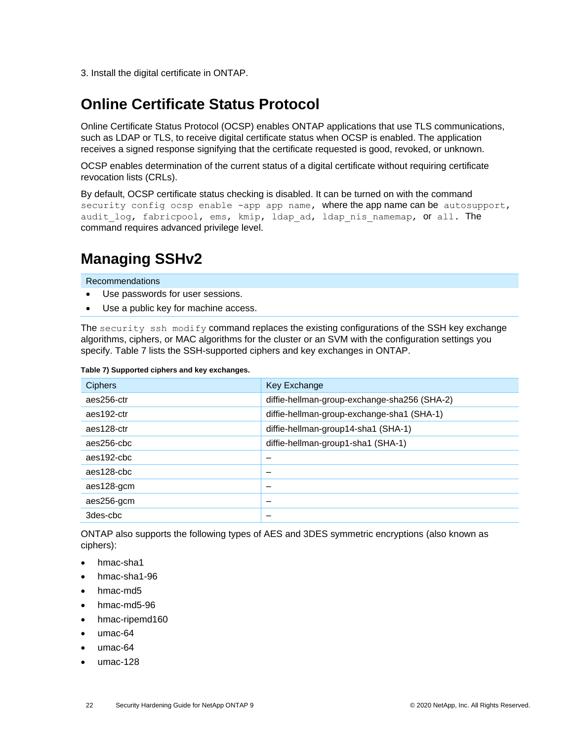3. Install the digital certificate in ONTAP.

## <span id="page-21-0"></span>**Online Certificate Status Protocol**

Online Certificate Status Protocol (OCSP) enables ONTAP applications that use TLS communications, such as LDAP or TLS, to receive digital certificate status when OCSP is enabled. The application receives a signed response signifying that the certificate requested is good, revoked, or unknown.

OCSP enables determination of the current status of a digital certificate without requiring certificate revocation lists (CRLs).

By default, OCSP certificate status checking is disabled. It can be turned on with the command security config ocsp enable -app app name, where the app name can be autosupport, audit log, fabricpool, ems, kmip, ldap ad, ldap nis namemap, or all. The command requires advanced privilege level.

## <span id="page-21-1"></span>**Managing SSHv2**

Recommendations

- Use passwords for user sessions.
- Use a public key for machine access.

The security ssh modify command replaces the existing configurations of the SSH key exchange algorithms, ciphers, or MAC algorithms for the cluster or an SVM with the configuration settings you specify. [Table 7](#page-21-2) lists the SSH-supported ciphers and key exchanges in ONTAP.

#### <span id="page-21-2"></span>**Table 7) Supported ciphers and key exchanges.**

| <b>Ciphers</b> | Key Exchange                                 |
|----------------|----------------------------------------------|
| aes256-ctr     | diffie-hellman-group-exchange-sha256 (SHA-2) |
| aes192-ctr     | diffie-hellman-group-exchange-sha1 (SHA-1)   |
| aes128-ctr     | diffie-hellman-group14-sha1 (SHA-1)          |
| aes256-cbc     | diffie-hellman-group1-sha1 (SHA-1)           |
| aes192-cbc     |                                              |
| aes128-cbc     |                                              |
| aes128-gcm     |                                              |
| aes256-gcm     |                                              |
| 3des-cbc       |                                              |

ONTAP also supports the following types of AES and 3DES symmetric encryptions (also known as ciphers):

- hmac-sha1
- hmac-sha1-96
- hmac-md5
- hmac-md5-96
- hmac-ripemd160
- umac-64
- umac-64
- umac-128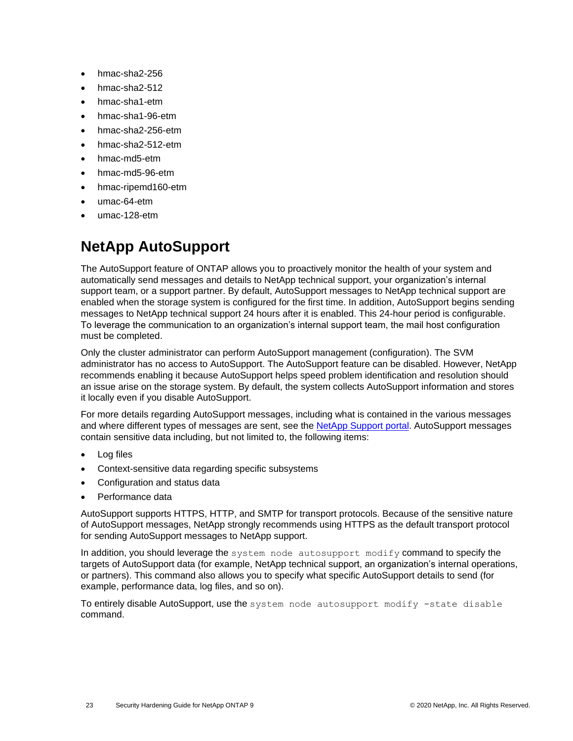- hmac-sha2-256
- hmac-sha2-512
- hmac-sha1-etm
- hmac-sha1-96-etm
- hmac-sha2-256-etm
- hmac-sha2-512-etm
- hmac-md5-etm
- hmac-md5-96-etm
- hmac-ripemd160-etm
- umac-64-etm
- <span id="page-22-0"></span>• umac-128-etm

# **NetApp AutoSupport**

The AutoSupport feature of ONTAP allows you to proactively monitor the health of your system and automatically send messages and details to NetApp technical support, your organization's internal support team, or a support partner. By default, AutoSupport messages to NetApp technical support are enabled when the storage system is configured for the first time. In addition, AutoSupport begins sending messages to NetApp technical support 24 hours after it is enabled. This 24-hour period is configurable. To leverage the communication to an organization's internal support team, the mail host configuration must be completed.

Only the cluster administrator can perform AutoSupport management (configuration). The SVM administrator has no access to AutoSupport. The AutoSupport feature can be disabled. However, NetApp recommends enabling it because AutoSupport helps speed problem identification and resolution should an issue arise on the storage system. By default, the system collects AutoSupport information and stores it locally even if you disable AutoSupport.

For more details regarding AutoSupport messages, including what is contained in the various messages and where different types of messages are sent, see the [NetApp Support portal.](https://library.netapp.com/ecmdocs/ECMP1196798/html/GUID-DF931E89-B833-4DED-83B5-A97F7EC97425.html) AutoSupport messages contain sensitive data including, but not limited to, the following items:

- Log files
- Context-sensitive data regarding specific subsystems
- Configuration and status data
- Performance data

AutoSupport supports HTTPS, HTTP, and SMTP for transport protocols. Because of the sensitive nature of AutoSupport messages, NetApp strongly recommends using HTTPS as the default transport protocol for sending AutoSupport messages to NetApp support.

In addition, you should leverage the system node autosupport modify command to specify the targets of AutoSupport data (for example, NetApp technical support, an organization's internal operations, or partners). This command also allows you to specify what specific AutoSupport details to send (for example, performance data, log files, and so on).

To entirely disable AutoSupport, use the system node autosupport modify -state disable command.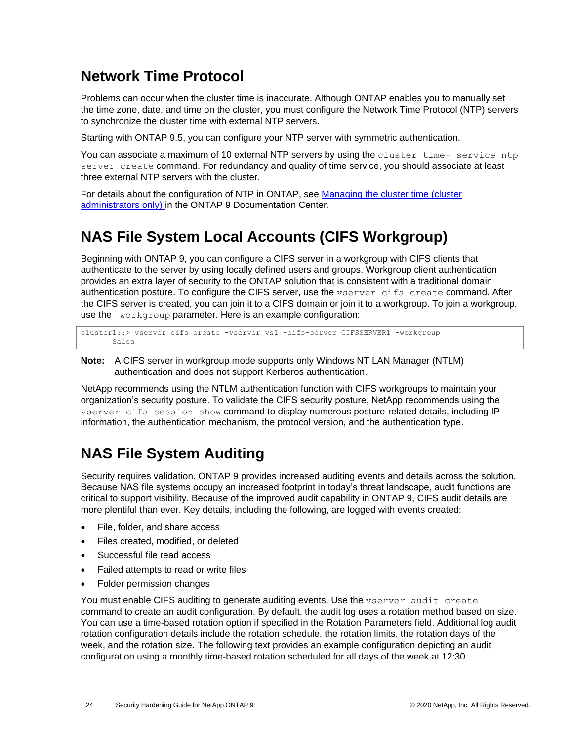### <span id="page-23-0"></span>**Network Time Protocol**

Problems can occur when the cluster time is inaccurate. Although ONTAP enables you to manually set the time zone, date, and time on the cluster, you must configure the Network Time Protocol (NTP) servers to synchronize the cluster time with external NTP servers.

Starting with ONTAP 9.5, you can configure your NTP server with symmetric authentication.

You can associate a maximum of 10 external NTP servers by using the cluster time- service ntp server create command. For redundancy and quality of time service, you should associate at least three external NTP servers with the cluster.

For details about the configuration of NTP in ONTAP, see [Managing the cluster time \(cluster](http://docs.netapp.com/ontap-9/topic/com.netapp.doc.dot-cm-sag/GUID-1E923D05-447D-4323-8D87-12B82F49B6F1.html)  [administrators only\)](http://docs.netapp.com/ontap-9/topic/com.netapp.doc.dot-cm-sag/GUID-1E923D05-447D-4323-8D87-12B82F49B6F1.html) in the ONTAP 9 Documentation Center.

## <span id="page-23-1"></span>**NAS File System Local Accounts (CIFS Workgroup)**

Beginning with ONTAP 9, you can configure a CIFS server in a workgroup with CIFS clients that authenticate to the server by using locally defined users and groups. Workgroup client authentication provides an extra layer of security to the ONTAP solution that is consistent with a traditional domain authentication posture. To configure the CIFS server, use the vserver cifs create command. After the CIFS server is created, you can join it to a CIFS domain or join it to a workgroup. To join a workgroup, use the –workgroup parameter. Here is an example configuration:

cluster1::> vserver cifs create -vserver vs1 -cifs-server CIFSSERVER1 -workgroup Sales

**Note:** A CIFS server in workgroup mode supports only Windows NT LAN Manager (NTLM) authentication and does not support Kerberos authentication.

NetApp recommends using the NTLM authentication function with CIFS workgroups to maintain your organization's security posture. To validate the CIFS security posture, NetApp recommends using the vserver cifs session show command to display numerous posture-related details, including IP information, the authentication mechanism, the protocol version, and the authentication type.

## <span id="page-23-2"></span>**NAS File System Auditing**

Security requires validation. ONTAP 9 provides increased auditing events and details across the solution. Because NAS file systems occupy an increased footprint in today's threat landscape, audit functions are critical to support visibility. Because of the improved audit capability in ONTAP 9, CIFS audit details are more plentiful than ever. Key details, including the following, are logged with events created:

- File, folder, and share access
- Files created, modified, or deleted
- Successful file read access
- Failed attempts to read or write files
- Folder permission changes

You must enable CIFS auditing to generate auditing events. Use the vserver audit create command to create an audit configuration. By default, the audit log uses a rotation method based on size. You can use a time-based rotation option if specified in the Rotation Parameters field. Additional log audit rotation configuration details include the rotation schedule, the rotation limits, the rotation days of the week, and the rotation size. The following text provides an example configuration depicting an audit configuration using a monthly time-based rotation scheduled for all days of the week at 12:30.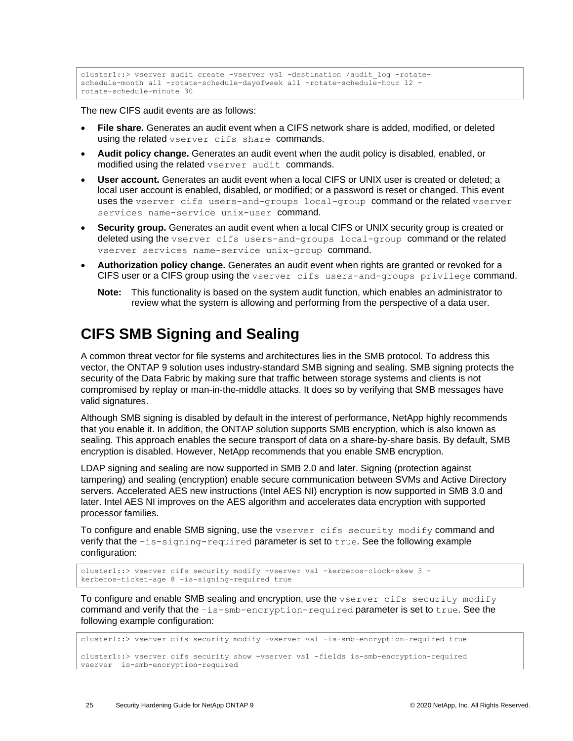```
cluster1::> vserver audit create -vserver vs1 -destination /audit_log -rotate-
schedule-month all -rotate-schedule-dayofweek all -rotate-schedule-hour 12 -
rotate-schedule-minute 30
```
The new CIFS audit events are as follows:

- **File share.** Generates an audit event when a CIFS network share is added, modified, or deleted using the related vserver cifs share commands.
- **Audit policy change.** Generates an audit event when the audit policy is disabled, enabled, or modified using the related vserver audit commands.
- **User account.** Generates an audit event when a local CIFS or UNIX user is created or deleted; a local user account is enabled, disabled, or modified; or a password is reset or changed. This event uses the vserver cifs users-and-groups local-group command or the related vserver services name-service unix-user command.
- **Security group.** Generates an audit event when a local CIFS or UNIX security group is created or deleted using the vserver cifs users-and-groups local-group command or the related vserver services name-service unix-group command.
- **Authorization policy change.** Generates an audit event when rights are granted or revoked for a CIFS user or a CIFS group using the vserver cifs users-and-groups privilege command.
	- **Note:** This functionality is based on the system audit function, which enables an administrator to review what the system is allowing and performing from the perspective of a data user.

### <span id="page-24-0"></span>**CIFS SMB Signing and Sealing**

A common threat vector for file systems and architectures lies in the SMB protocol. To address this vector, the ONTAP 9 solution uses industry-standard SMB signing and sealing. SMB signing protects the security of the Data Fabric by making sure that traffic between storage systems and clients is not compromised by replay or man-in-the-middle attacks. It does so by verifying that SMB messages have valid signatures.

Although SMB signing is disabled by default in the interest of performance, NetApp highly recommends that you enable it. In addition, the ONTAP solution supports SMB encryption, which is also known as sealing. This approach enables the secure transport of data on a share-by-share basis. By default, SMB encryption is disabled. However, NetApp recommends that you enable SMB encryption.

LDAP signing and sealing are now supported in SMB 2.0 and later. Signing (protection against tampering) and sealing (encryption) enable secure communication between SVMs and Active Directory servers. Accelerated AES new instructions (Intel AES NI) encryption is now supported in SMB 3.0 and later. Intel AES NI improves on the AES algorithm and accelerates data encryption with supported processor families.

To configure and enable SMB signing, use the vserver cifs security modify command and verify that the –is-signing-required parameter is set to true. See the following example configuration:

```
cluster1::> vserver cifs security modify -vserver vs1 -kerberos-clock-skew 3 -
kerberos-ticket-age 8 -is-signing-required true
```
To configure and enable SMB sealing and encryption, use the vserver cifs security modify command and verify that the –is-smb-encryption-required parameter is set to true. See the following example configuration:

```
cluster1::> vserver cifs security modify -vserver vs1 -is-smb-encryption-required true
cluster1::> vserver cifs security show -vserver vs1 -fields is-smb-encryption-required
vserver is-smb-encryption-required
```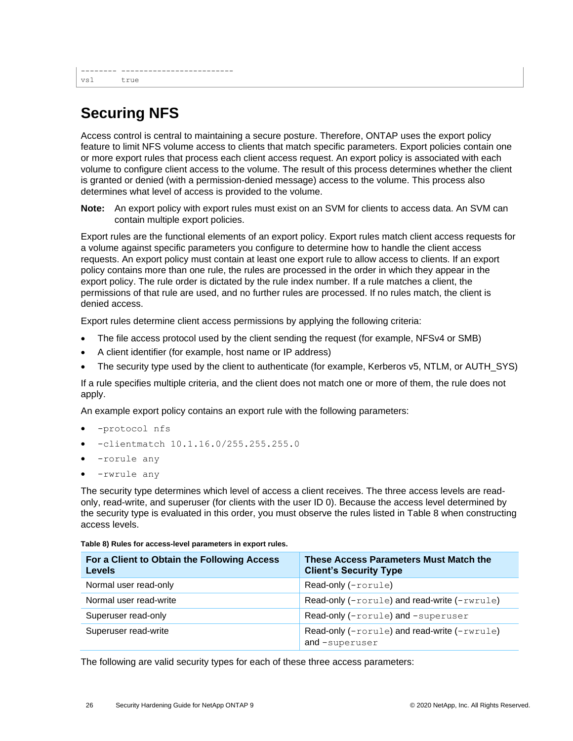# <span id="page-25-0"></span>**Securing NFS**

Access control is central to maintaining a secure posture. Therefore, ONTAP uses the export policy feature to limit NFS volume access to clients that match specific parameters. Export policies contain one or more export rules that process each client access request. An export policy is associated with each volume to configure client access to the volume. The result of this process determines whether the client is granted or denied (with a permission-denied message) access to the volume. This process also determines what level of access is provided to the volume.

**Note:** An export policy with export rules must exist on an SVM for clients to access data. An SVM can contain multiple export policies.

Export rules are the functional elements of an export policy. Export rules match client access requests for a volume against specific parameters you configure to determine how to handle the client access requests. An export policy must contain at least one export rule to allow access to clients. If an export policy contains more than one rule, the rules are processed in the order in which they appear in the export policy. The rule order is dictated by the rule index number. If a rule matches a client, the permissions of that rule are used, and no further rules are processed. If no rules match, the client is denied access.

Export rules determine client access permissions by applying the following criteria:

- The file access protocol used by the client sending the request (for example, NFSv4 or SMB)
- A client identifier (for example, host name or IP address)
- The security type used by the client to authenticate (for example, Kerberos v5, NTLM, or AUTH\_SYS)

If a rule specifies multiple criteria, and the client does not match one or more of them, the rule does not apply.

An example export policy contains an export rule with the following parameters:

- -protocol nfs
- -clientmatch 10.1.16.0/255.255.255.0
- -rorule any
- -rwrule any

The security type determines which level of access a client receives. The three access levels are readonly, read-write, and superuser (for clients with the user ID 0). Because the access level determined by the security type is evaluated in this order, you must observe the rules listed in [Table 8](#page-25-1) when constructing access levels.

| For a Client to Obtain the Following Access<br><b>Levels</b> | These Access Parameters Must Match the<br><b>Client's Security Type</b> |
|--------------------------------------------------------------|-------------------------------------------------------------------------|
| Normal user read-only                                        | Read-only (-rorule)                                                     |
| Normal user read-write                                       | Read-only (-rorule) and read-write (-rwrule)                            |
| Superuser read-only                                          | Read-only (-rorule) and -superuser                                      |
| Superuser read-write                                         | Read-only (-rorule) and read-write (-rwrule)<br>and-superuser           |

<span id="page-25-1"></span>**Table 8) Rules for access-level parameters in export rules.**

The following are valid security types for each of these three access parameters: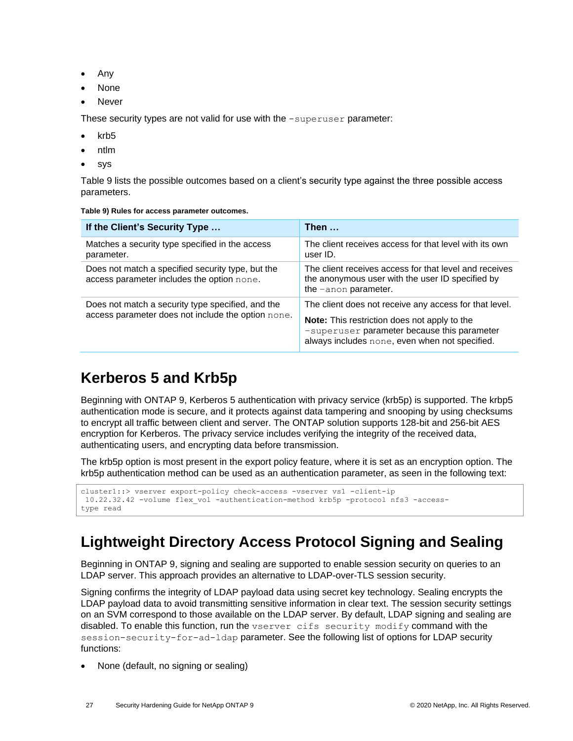- Any
- None
- Never

These security types are not valid for use with the -superuser parameter:

- krb5
- ntlm
- sys

[Table 9](#page-26-2) lists the possible outcomes based on a client's security type against the three possible access parameters.

<span id="page-26-2"></span>

| Table 9) Rules for access parameter outcomes. |  |  |  |  |
|-----------------------------------------------|--|--|--|--|
|-----------------------------------------------|--|--|--|--|

| If the Client's Security Type                                                                   | Then $\dots$                                                                                                                                         |  |
|-------------------------------------------------------------------------------------------------|------------------------------------------------------------------------------------------------------------------------------------------------------|--|
| Matches a security type specified in the access<br>parameter.                                   | The client receives access for that level with its own<br>user ID.                                                                                   |  |
| Does not match a specified security type, but the<br>access parameter includes the option none. | The client receives access for that level and receives<br>the anonymous user with the user ID specified by<br>the -anon parameter.                   |  |
| Does not match a security type specified, and the                                               | The client does not receive any access for that level.                                                                                               |  |
| access parameter does not include the option none.                                              | <b>Note:</b> This restriction does not apply to the<br>-superuser parameter because this parameter<br>always includes none, even when not specified. |  |

### <span id="page-26-0"></span>**Kerberos 5 and Krb5p**

Beginning with ONTAP 9, Kerberos 5 authentication with privacy service (krb5p) is supported. The krbp5 authentication mode is secure, and it protects against data tampering and snooping by using checksums to encrypt all traffic between client and server. The ONTAP solution supports 128-bit and 256-bit AES encryption for Kerberos. The privacy service includes verifying the integrity of the received data, authenticating users, and encrypting data before transmission.

The krb5p option is most present in the export policy feature, where it is set as an encryption option. The krb5p authentication method can be used as an authentication parameter, as seen in the following text:

```
cluster1::> vserver export-policy check-access -vserver vs1 -client-ip
10.22.32.42 -volume flex_vol -authentication-method krb5p -protocol nfs3 -access-
type read
```
## <span id="page-26-1"></span>**Lightweight Directory Access Protocol Signing and Sealing**

Beginning in ONTAP 9, signing and sealing are supported to enable session security on queries to an LDAP server. This approach provides an alternative to LDAP-over-TLS session security.

Signing confirms the integrity of LDAP payload data using secret key technology. Sealing encrypts the LDAP payload data to avoid transmitting sensitive information in clear text. The session security settings on an SVM correspond to those available on the LDAP server. By default, LDAP signing and sealing are disabled. To enable this function, run the vserver cifs security modify command with the session-security-for-ad-ldap parameter. See the following list of options for LDAP security functions:

• None (default, no signing or sealing)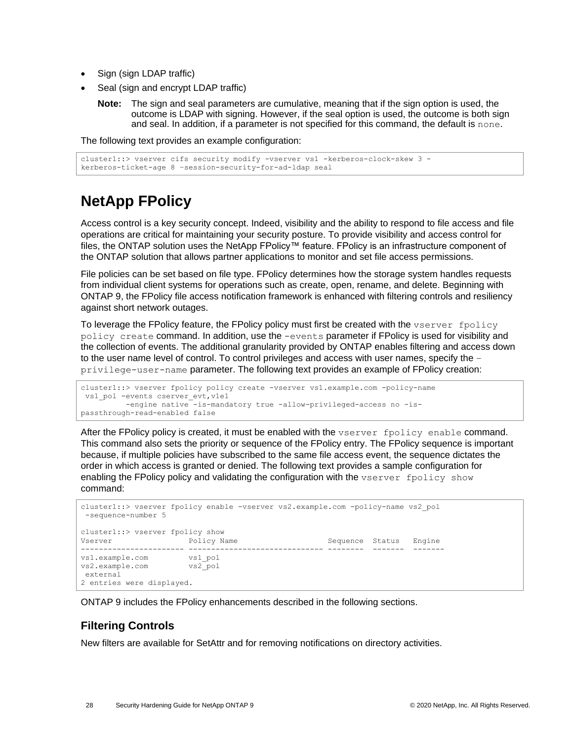- Sign (sign LDAP traffic)
- Seal (sign and encrypt LDAP traffic)
	- **Note:** The sign and seal parameters are cumulative, meaning that if the sign option is used, the outcome is LDAP with signing. However, if the seal option is used, the outcome is both sign and seal. In addition, if a parameter is not specified for this command, the default is none.

The following text provides an example configuration:

```
cluster1::> vserver cifs security modify -vserver vs1 -kerberos-clock-skew 3 -
kerberos-ticket-age 8 –session-security-for-ad-ldap seal
```
## <span id="page-27-0"></span>**NetApp FPolicy**

Access control is a key security concept. Indeed, visibility and the ability to respond to file access and file operations are critical for maintaining your security posture. To provide visibility and access control for files, the ONTAP solution uses the NetApp FPolicy™ feature. FPolicy is an infrastructure component of the ONTAP solution that allows partner applications to monitor and set file access permissions.

File policies can be set based on file type. FPolicy determines how the storage system handles requests from individual client systems for operations such as create, open, rename, and delete. Beginning with ONTAP 9, the FPolicy file access notification framework is enhanced with filtering controls and resiliency against short network outages.

To leverage the FPolicy feature, the FPolicy policy must first be created with the vserver fpolicy policy create command. In addition, use the -events parameter if FPolicy is used for visibility and the collection of events. The additional granularity provided by ONTAP enables filtering and access down to the user name level of control. To control privileges and access with user names, specify the – privilege-user-name parameter. The following text provides an example of FPolicy creation:

```
cluster1::> vserver fpolicy policy create -vserver vs1.example.com -policy-name
vs1_pol -events cserver_evt,v1e1
          -engine native -is-mandatory true -allow-privileged-access no -is-
passthrough-read-enabled false
```
After the FPolicy policy is created, it must be enabled with the vserver fpolicy enable command. This command also sets the priority or sequence of the FPolicy entry. The FPolicy sequence is important because, if multiple policies have subscribed to the same file access event, the sequence dictates the order in which access is granted or denied. The following text provides a sample configuration for enabling the FPolicy policy and validating the configuration with the vserver fpolicy show command:

```
cluster1::> vserver fpolicy enable -vserver vs2.example.com -policy-name vs2_pol
-sequence-number 5
cluster1::> vserver fpolicy show
Vserver Sexter Status Policy Name Sequence Status Engine
----------------------- ------------------------------ -------- ------- -------
vs1.example.com vs1_pol
vs2.example.com vs2_pol
external
2 entries were displayed.
```
ONTAP 9 includes the FPolicy enhancements described in the following sections.

### <span id="page-27-1"></span>**Filtering Controls**

New filters are available for SetAttr and for removing notifications on directory activities.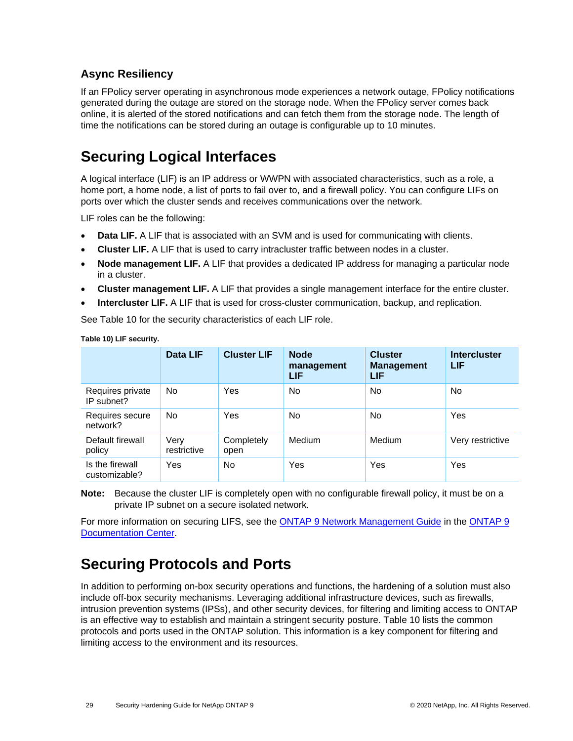### <span id="page-28-0"></span>**Async Resiliency**

If an FPolicy server operating in asynchronous mode experiences a network outage, FPolicy notifications generated during the outage are stored on the storage node. When the FPolicy server comes back online, it is alerted of the stored notifications and can fetch them from the storage node. The length of time the notifications can be stored during an outage is configurable up to 10 minutes.

### <span id="page-28-1"></span>**Securing Logical Interfaces**

A logical interface (LIF) is an IP address or WWPN with associated characteristics, such as a role, a home port, a home node, a list of ports to fail over to, and a firewall policy. You can configure LIFs on ports over which the cluster sends and receives communications over the network.

LIF roles can be the following:

- **Data LIF.** A LIF that is associated with an SVM and is used for communicating with clients.
- **Cluster LIF.** A LIF that is used to carry intracluster traffic between nodes in a cluster.
- **Node management LIF.** A LIF that provides a dedicated IP address for managing a particular node in a cluster.
- **Cluster management LIF.** A LIF that provides a single management interface for the entire cluster.
- **Intercluster LIF.** A LIF that is used for cross-cluster communication, backup, and replication.

See [Table 10](#page-29-0) for the security characteristics of each LIF role.

|                                  | Data LIF            | <b>Cluster LIF</b> | <b>Node</b><br>management<br>LIF | <b>Cluster</b><br><b>Management</b><br>LIF | <b>Intercluster</b><br>LIF |
|----------------------------------|---------------------|--------------------|----------------------------------|--------------------------------------------|----------------------------|
| Requires private<br>IP subnet?   | <b>No</b>           | Yes                | No                               | No                                         | <b>No</b>                  |
| Requires secure<br>network?      | <b>No</b>           | Yes                | No.                              | No                                         | Yes                        |
| Default firewall<br>policy       | Very<br>restrictive | Completely<br>open | <b>Medium</b>                    | Medium                                     | Very restrictive           |
| Is the firewall<br>customizable? | Yes                 | No.                | Yes                              | Yes                                        | Yes                        |

**Table 10) LIF security.**

**Note:** Because the cluster LIF is completely open with no configurable firewall policy, it must be on a private IP subnet on a secure isolated network.

For more information on securing LIFS, see th[e ONTAP 9 Network Management Guide](http://docs.netapp.com/ontap-9/topic/com.netapp.doc.dot-cm-nmg/home.html) in the [ONTAP 9](http://docs.netapp.com/ontap-9/index.jsp)  [Documentation Center.](http://docs.netapp.com/ontap-9/index.jsp)

### <span id="page-28-2"></span>**Securing Protocols and Ports**

In addition to performing on-box security operations and functions, the hardening of a solution must also include off-box security mechanisms. Leveraging additional infrastructure devices, such as firewalls, intrusion prevention systems (IPSs), and other security devices, for filtering and limiting access to ONTAP is an effective way to establish and maintain a stringent security posture. Table 10 lists the common protocols and ports used in the ONTAP solution. This information is a key component for filtering and limiting access to the environment and its resources.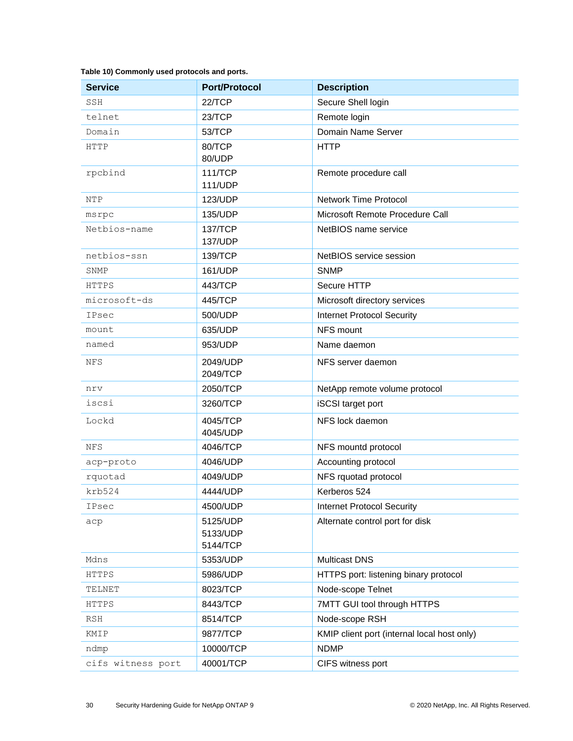<span id="page-29-0"></span>

|  | Table 10) Commonly used protocols and ports. |  |  |  |
|--|----------------------------------------------|--|--|--|
|--|----------------------------------------------|--|--|--|

| <b>Service</b>                 | <b>Port/Protocol</b>                    | <b>Description</b>                          |  |
|--------------------------------|-----------------------------------------|---------------------------------------------|--|
| SSH                            | 22/TCP                                  | Secure Shell login                          |  |
| telnet                         | 23/TCP                                  | Remote login                                |  |
| Domain                         | 53/TCP                                  | Domain Name Server                          |  |
| HTTP                           | 80/TCP<br>80/UDP                        | <b>HTTP</b>                                 |  |
| rpcbind                        | <b>111/TCP</b><br><b>111/UDP</b>        | Remote procedure call                       |  |
| NTP                            | 123/UDP                                 | <b>Network Time Protocol</b>                |  |
| msrpc                          | 135/UDP                                 | Microsoft Remote Procedure Call             |  |
| Netbios-name                   | 137/TCP<br>137/UDP                      | NetBIOS name service                        |  |
| netbios-ssn                    | 139/TCP                                 | NetBIOS service session                     |  |
| SNMP                           | 161/UDP                                 | <b>SNMP</b>                                 |  |
| <b>HTTPS</b>                   | 443/TCP                                 | Secure HTTP                                 |  |
| microsoft-ds                   | 445/TCP                                 | Microsoft directory services                |  |
| IPsec                          | 500/UDP                                 | <b>Internet Protocol Security</b>           |  |
| mount                          | 635/UDP                                 | NFS mount                                   |  |
| named                          | 953/UDP                                 | Name daemon                                 |  |
| NFS                            | 2049/UDP<br>2049/TCP                    | NFS server daemon                           |  |
| nrv                            | 2050/TCP                                | NetApp remote volume protocol               |  |
| iscsi                          | 3260/TCP                                | iSCSI target port                           |  |
| Lockd                          | 4045/TCP<br>4045/UDP                    | NFS lock daemon                             |  |
| <b>NFS</b>                     | 4046/TCP                                | NFS mountd protocol                         |  |
| acp-proto                      | 4046/UDP                                | Accounting protocol                         |  |
| rquotad                        | 4049/UDP                                | NFS rquotad protocol                        |  |
| krb524                         | Kerberos 524<br>4444/UDP                |                                             |  |
| IPsec                          | 4500/UDP                                | <b>Internet Protocol Security</b>           |  |
| аср                            | 5125/UDP<br>5133/UDP<br>5144/TCP        | Alternate control port for disk             |  |
| Mdns                           | 5353/UDP                                | <b>Multicast DNS</b>                        |  |
| HTTPS                          | 5986/UDP                                | HTTPS port: listening binary protocol       |  |
| TELNET                         | 8023/TCP<br>Node-scope Telnet           |                                             |  |
| HTTPS                          | 8443/TCP<br>7MTT GUI tool through HTTPS |                                             |  |
| RSH                            | 8514/TCP                                | Node-scope RSH                              |  |
| KMIP                           | 9877/TCP                                | KMIP client port (internal local host only) |  |
| ndmp                           | 10000/TCP                               | <b>NDMP</b>                                 |  |
| cifs witness port<br>40001/TCP |                                         | CIFS witness port                           |  |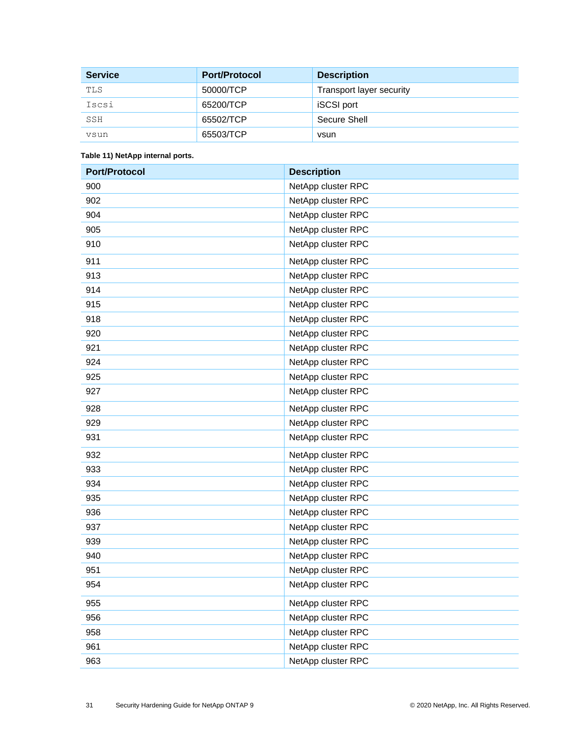| <b>Service</b> | <b>Port/Protocol</b> | <b>Description</b>       |
|----------------|----------------------|--------------------------|
| TLS            | 50000/TCP            | Transport layer security |
| Iscsi          | 65200/TCP            | <b>iSCSI</b> port        |
| SSH            | 65502/TCP            | Secure Shell             |
| vsun           | 65503/TCP            | vsun                     |

#### <span id="page-30-0"></span>**Table 11) NetApp internal ports.**

| <b>Port/Protocol</b> | <b>Description</b> |
|----------------------|--------------------|
| 900                  | NetApp cluster RPC |
| 902                  | NetApp cluster RPC |
| 904                  | NetApp cluster RPC |
| 905                  | NetApp cluster RPC |
| 910                  | NetApp cluster RPC |
| 911                  | NetApp cluster RPC |
| 913                  | NetApp cluster RPC |
| 914                  | NetApp cluster RPC |
| 915                  | NetApp cluster RPC |
| 918                  | NetApp cluster RPC |
| 920                  | NetApp cluster RPC |
| 921                  | NetApp cluster RPC |
| 924                  | NetApp cluster RPC |
| 925                  | NetApp cluster RPC |
| 927                  | NetApp cluster RPC |
| 928                  | NetApp cluster RPC |
| 929                  | NetApp cluster RPC |
| 931                  | NetApp cluster RPC |
| 932                  | NetApp cluster RPC |
| 933                  | NetApp cluster RPC |
| 934                  | NetApp cluster RPC |
| 935                  | NetApp cluster RPC |
| 936                  | NetApp cluster RPC |
| 937                  | NetApp cluster RPC |
| 939                  | NetApp cluster RPC |
| 940                  | NetApp cluster RPC |
| 951                  | NetApp cluster RPC |
| 954                  | NetApp cluster RPC |
| 955                  | NetApp cluster RPC |
| 956                  | NetApp cluster RPC |
| 958                  | NetApp cluster RPC |
| 961                  | NetApp cluster RPC |
| 963                  | NetApp cluster RPC |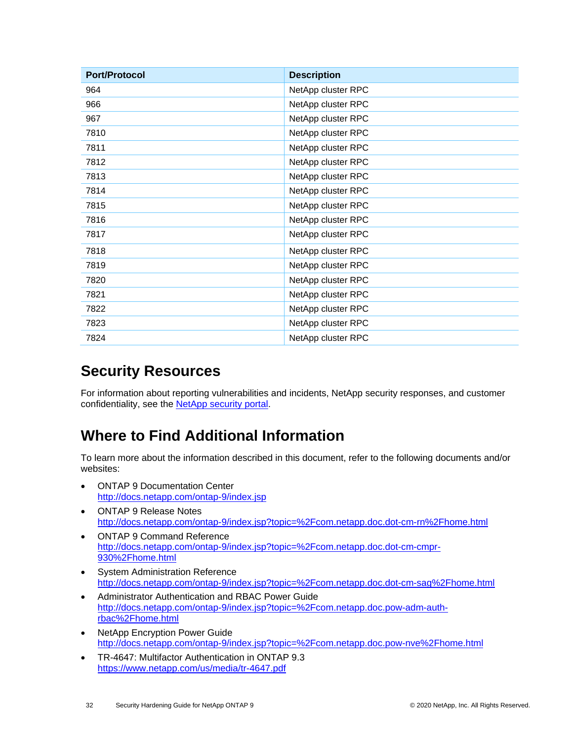| <b>Port/Protocol</b> | <b>Description</b> |
|----------------------|--------------------|
| 964                  | NetApp cluster RPC |
| 966                  | NetApp cluster RPC |
| 967                  | NetApp cluster RPC |
| 7810                 | NetApp cluster RPC |
| 7811                 | NetApp cluster RPC |
| 7812                 | NetApp cluster RPC |
| 7813                 | NetApp cluster RPC |
| 7814                 | NetApp cluster RPC |
| 7815                 | NetApp cluster RPC |
| 7816                 | NetApp cluster RPC |
| 7817                 | NetApp cluster RPC |
| 7818                 | NetApp cluster RPC |
| 7819                 | NetApp cluster RPC |
| 7820                 | NetApp cluster RPC |
| 7821                 | NetApp cluster RPC |
| 7822                 | NetApp cluster RPC |
| 7823                 | NetApp cluster RPC |
| 7824                 | NetApp cluster RPC |

### <span id="page-31-0"></span>**Security Resources**

For information about reporting vulnerabilities and incidents, NetApp security responses, and customer confidentiality, see the NetApp [security portal.](http://www.netapp.com/us/legal/security/contact/index.aspx)

## <span id="page-31-1"></span>**Where to Find Additional Information**

To learn more about the information described in this document, refer to the following documents and/or websites:

- ONTAP 9 Documentation Center <http://docs.netapp.com/ontap-9/index.jsp>
- ONTAP 9 Release Notes <http://docs.netapp.com/ontap-9/index.jsp?topic=%2Fcom.netapp.doc.dot-cm-rn%2Fhome.html>
- ONTAP 9 Command Reference [http://docs.netapp.com/ontap-9/index.jsp?topic=%2Fcom.netapp.doc.dot-cm-cmpr-](http://docs.netapp.com/ontap-9/index.jsp?topic=%2Fcom.netapp.doc.dot-cm-cmpr-930%2Fhome.html)[930%2Fhome.html](http://docs.netapp.com/ontap-9/index.jsp?topic=%2Fcom.netapp.doc.dot-cm-cmpr-930%2Fhome.html)
- System Administration Reference <http://docs.netapp.com/ontap-9/index.jsp?topic=%2Fcom.netapp.doc.dot-cm-sag%2Fhome.html>
- Administrator Authentication and RBAC Power Guide [http://docs.netapp.com/ontap-9/index.jsp?topic=%2Fcom.netapp.doc.pow-adm-auth](http://docs.netapp.com/ontap-9/index.jsp?topic=%2Fcom.netapp.doc.pow-adm-auth-rbac%2Fhome.html)[rbac%2Fhome.html](http://docs.netapp.com/ontap-9/index.jsp?topic=%2Fcom.netapp.doc.pow-adm-auth-rbac%2Fhome.html)
- NetApp Encryption Power Guide <http://docs.netapp.com/ontap-9/index.jsp?topic=%2Fcom.netapp.doc.pow-nve%2Fhome.html>
- [TR-4647: Multifactor Authentication in ONTAP 9.3](http://www.netapp.com/us/media/tr-4647.pdf) <https://www.netapp.com/us/media/tr-4647.pdf>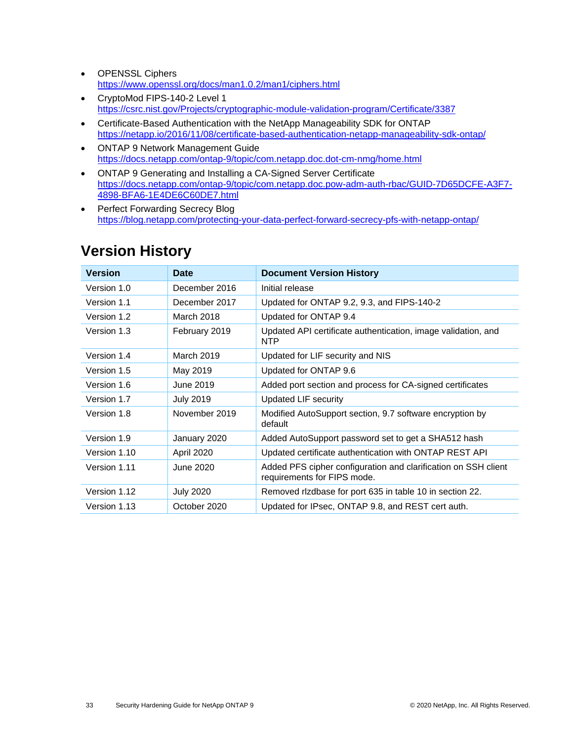- OPENSSL Ciphers <https://www.openssl.org/docs/man1.0.2/man1/ciphers.html>
- CryptoMod FIPS-140-2 Level 1 <https://csrc.nist.gov/Projects/cryptographic-module-validation-program/Certificate/3387>
- Certificate-Based Authentication with the NetApp Manageability SDK for ONTAP <https://netapp.io/2016/11/08/certificate-based-authentication-netapp-manageability-sdk-ontap/>
- ONTAP 9 Network Management Guide <https://docs.netapp.com/ontap-9/topic/com.netapp.doc.dot-cm-nmg/home.html>
- ONTAP 9 Generating and Installing a CA-Signed Server Certificate [https://docs.netapp.com/ontap-9/topic/com.netapp.doc.pow-adm-auth-rbac/GUID-7D65DCFE-A3F7-](https://docs.netapp.com/ontap-9/topic/com.netapp.doc.pow-adm-auth-rbac/GUID-7D65DCFE-A3F7-4898-BFA6-1E4DE6C60DE7.html) [4898-BFA6-1E4DE6C60DE7.html](https://docs.netapp.com/ontap-9/topic/com.netapp.doc.pow-adm-auth-rbac/GUID-7D65DCFE-A3F7-4898-BFA6-1E4DE6C60DE7.html)
- Perfect Forwarding Secrecy Blog <https://blog.netapp.com/protecting-your-data-perfect-forward-secrecy-pfs-with-netapp-ontap/>

| <b>Version</b> | <b>Date</b>      | <b>Document Version History</b>                                                               |
|----------------|------------------|-----------------------------------------------------------------------------------------------|
| Version 1.0    | December 2016    | Initial release                                                                               |
| Version 1.1    | December 2017    | Updated for ONTAP 9.2, 9.3, and FIPS-140-2                                                    |
| Version 1.2    | March 2018       | Updated for ONTAP 9.4                                                                         |
| Version 1.3    | February 2019    | Updated API certificate authentication, image validation, and<br><b>NTP</b>                   |
| Version 1.4    | March 2019       | Updated for LIF security and NIS                                                              |
| Version 1.5    | May 2019         | Updated for ONTAP 9.6                                                                         |
| Version 1.6    | June 2019        | Added port section and process for CA-signed certificates                                     |
| Version 1.7    | <b>July 2019</b> | <b>Updated LIF security</b>                                                                   |
| Version 1.8    | November 2019    | Modified AutoSupport section, 9.7 software encryption by<br>default                           |
| Version 1.9    | January 2020     | Added AutoSupport password set to get a SHA512 hash                                           |
| Version 1.10   | April 2020       | Updated certificate authentication with ONTAP REST API                                        |
| Version 1.11   | June 2020        | Added PFS cipher configuration and clarification on SSH client<br>requirements for FIPS mode. |
| Version 1.12   | <b>July 2020</b> | Removed rizdbase for port 635 in table 10 in section 22.                                      |
| Version 1.13   | October 2020     | Updated for IPsec, ONTAP 9.8, and REST cert auth.                                             |

## <span id="page-32-0"></span>**Version History**